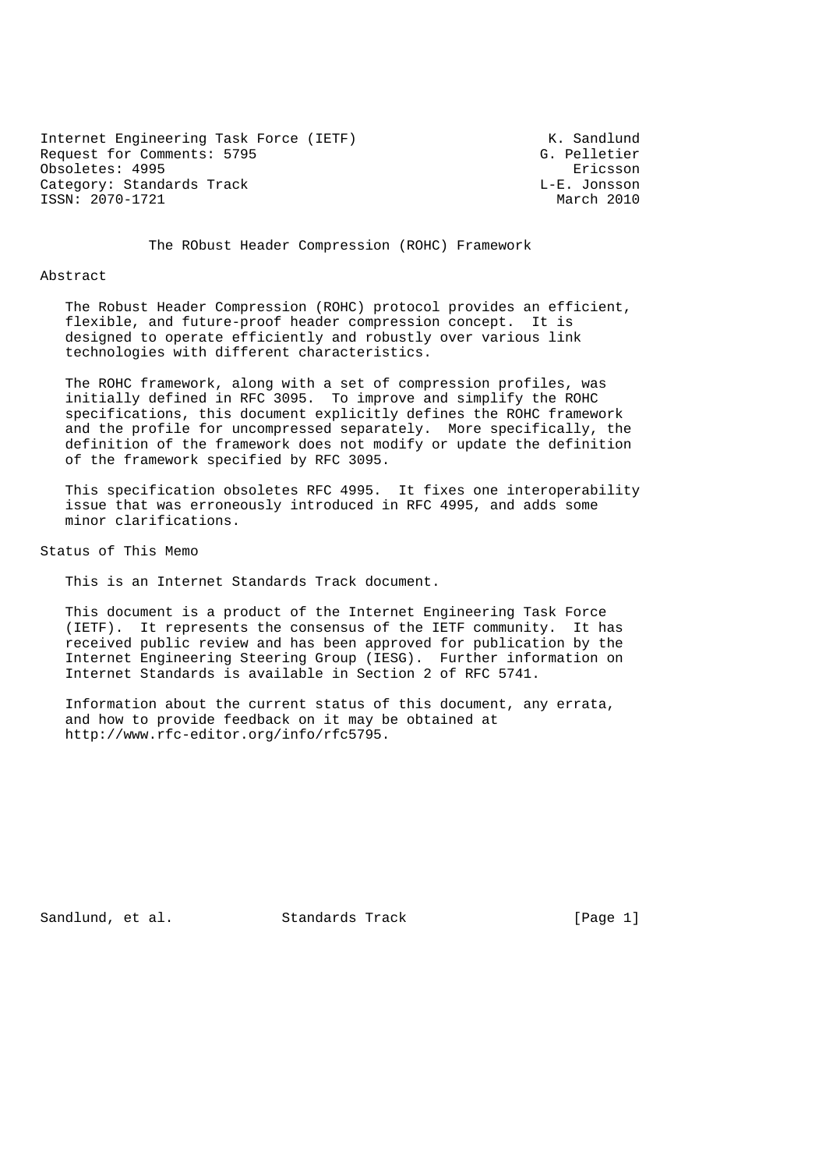Internet Engineering Task Force (IETF) The Control of the K. Sandlund Request for Comments: 5795 G. Pelletier Obsoletes: 4995 Ericsson Category: Standards Track Letter Constant Category: Standards Track L-E. Jonsson ISSN: 2070-1721 March 2010

The RObust Header Compression (ROHC) Framework

#### Abstract

 The Robust Header Compression (ROHC) protocol provides an efficient, flexible, and future-proof header compression concept. It is designed to operate efficiently and robustly over various link technologies with different characteristics.

 The ROHC framework, along with a set of compression profiles, was initially defined in RFC 3095. To improve and simplify the ROHC specifications, this document explicitly defines the ROHC framework and the profile for uncompressed separately. More specifically, the definition of the framework does not modify or update the definition of the framework specified by RFC 3095.

 This specification obsoletes RFC 4995. It fixes one interoperability issue that was erroneously introduced in RFC 4995, and adds some minor clarifications.

Status of This Memo

This is an Internet Standards Track document.

 This document is a product of the Internet Engineering Task Force (IETF). It represents the consensus of the IETF community. It has received public review and has been approved for publication by the Internet Engineering Steering Group (IESG). Further information on Internet Standards is available in Section 2 of RFC 5741.

 Information about the current status of this document, any errata, and how to provide feedback on it may be obtained at http://www.rfc-editor.org/info/rfc5795.

Sandlund, et al. Standards Track [Page 1]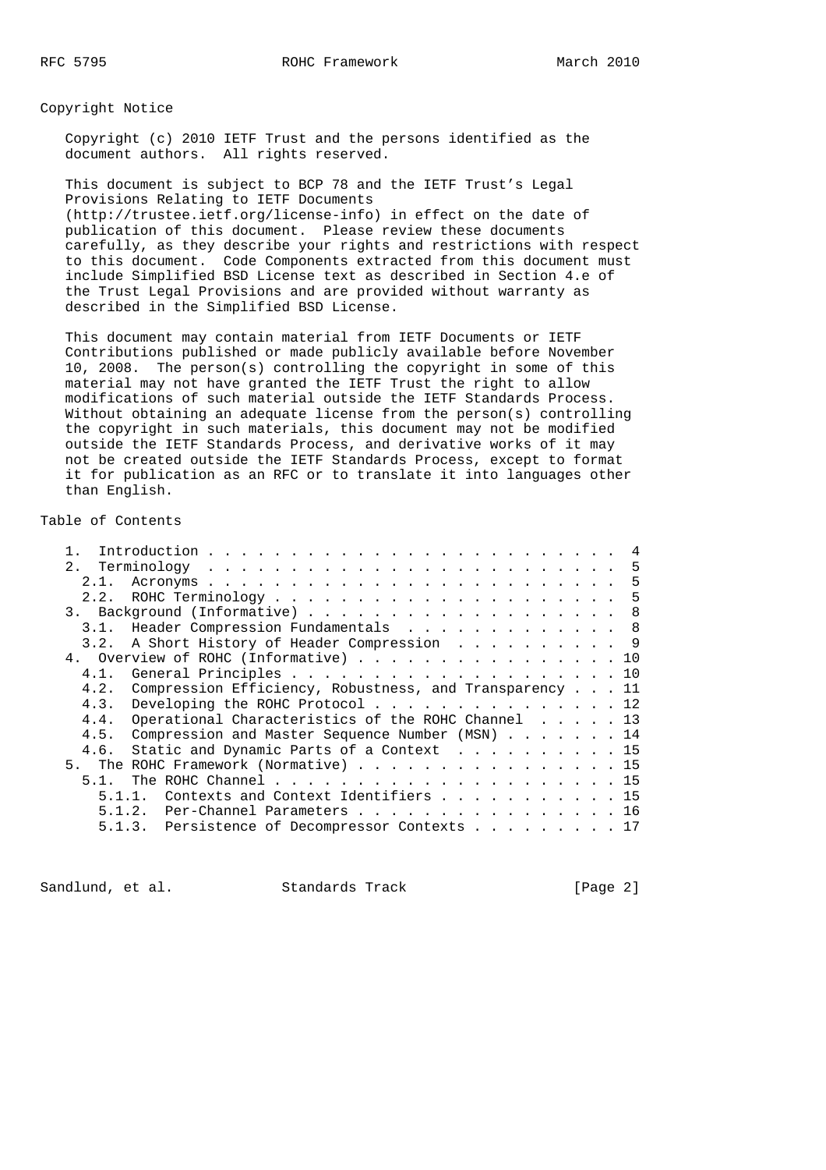RFC 5795 ROHC Framework March 2010

Copyright Notice

 Copyright (c) 2010 IETF Trust and the persons identified as the document authors. All rights reserved.

 This document is subject to BCP 78 and the IETF Trust's Legal Provisions Relating to IETF Documents (http://trustee.ietf.org/license-info) in effect on the date of publication of this document. Please review these documents carefully, as they describe your rights and restrictions with respect to this document. Code Components extracted from this document must include Simplified BSD License text as described in Section 4.e of the Trust Legal Provisions and are provided without warranty as described in the Simplified BSD License.

 This document may contain material from IETF Documents or IETF Contributions published or made publicly available before November 10, 2008. The person(s) controlling the copyright in some of this material may not have granted the IETF Trust the right to allow modifications of such material outside the IETF Standards Process. Without obtaining an adequate license from the person(s) controlling the copyright in such materials, this document may not be modified outside the IETF Standards Process, and derivative works of it may not be created outside the IETF Standards Process, except to format it for publication as an RFC or to translate it into languages other than English.

Table of Contents

| 2.1.<br>3. Background (Informative) 8<br>Header Compression Fundamentals 8<br>3.1.<br>A Short History of Header Compression 9<br>3.2.<br>4. Overview of ROHC (Informative) 10<br>General Principles 10<br>4.1.<br>Compression Efficiency, Robustness, and Transparency 11<br>4.2.<br>Developing the ROHC Protocol 12<br>4.3.<br>Operational Characteristics of the ROHC Channel 13<br>4.4.<br>Compression and Master Sequence Number (MSN) 14<br>4.5.<br>Static and Dynamic Parts of a Context 15<br>4.6.<br>The ROHC Framework (Normative) 15<br>5 <sub>1</sub><br>5.1.<br>Contexts and Context Identifiers 15<br>51<br>Per-Channel Parameters 16<br>5.1.2. |    |
|--------------------------------------------------------------------------------------------------------------------------------------------------------------------------------------------------------------------------------------------------------------------------------------------------------------------------------------------------------------------------------------------------------------------------------------------------------------------------------------------------------------------------------------------------------------------------------------------------------------------------------------------------------------|----|
|                                                                                                                                                                                                                                                                                                                                                                                                                                                                                                                                                                                                                                                              |    |
|                                                                                                                                                                                                                                                                                                                                                                                                                                                                                                                                                                                                                                                              | -5 |
|                                                                                                                                                                                                                                                                                                                                                                                                                                                                                                                                                                                                                                                              | -5 |
|                                                                                                                                                                                                                                                                                                                                                                                                                                                                                                                                                                                                                                                              |    |
|                                                                                                                                                                                                                                                                                                                                                                                                                                                                                                                                                                                                                                                              |    |
|                                                                                                                                                                                                                                                                                                                                                                                                                                                                                                                                                                                                                                                              |    |
|                                                                                                                                                                                                                                                                                                                                                                                                                                                                                                                                                                                                                                                              |    |
|                                                                                                                                                                                                                                                                                                                                                                                                                                                                                                                                                                                                                                                              |    |
|                                                                                                                                                                                                                                                                                                                                                                                                                                                                                                                                                                                                                                                              |    |
|                                                                                                                                                                                                                                                                                                                                                                                                                                                                                                                                                                                                                                                              |    |
|                                                                                                                                                                                                                                                                                                                                                                                                                                                                                                                                                                                                                                                              |    |
|                                                                                                                                                                                                                                                                                                                                                                                                                                                                                                                                                                                                                                                              |    |
|                                                                                                                                                                                                                                                                                                                                                                                                                                                                                                                                                                                                                                                              |    |
|                                                                                                                                                                                                                                                                                                                                                                                                                                                                                                                                                                                                                                                              |    |
|                                                                                                                                                                                                                                                                                                                                                                                                                                                                                                                                                                                                                                                              |    |
|                                                                                                                                                                                                                                                                                                                                                                                                                                                                                                                                                                                                                                                              |    |
|                                                                                                                                                                                                                                                                                                                                                                                                                                                                                                                                                                                                                                                              |    |
| 5.1.3. Persistence of Decompressor Contexts 17                                                                                                                                                                                                                                                                                                                                                                                                                                                                                                                                                                                                               |    |

Sandlund, et al. Standards Track [Page 2]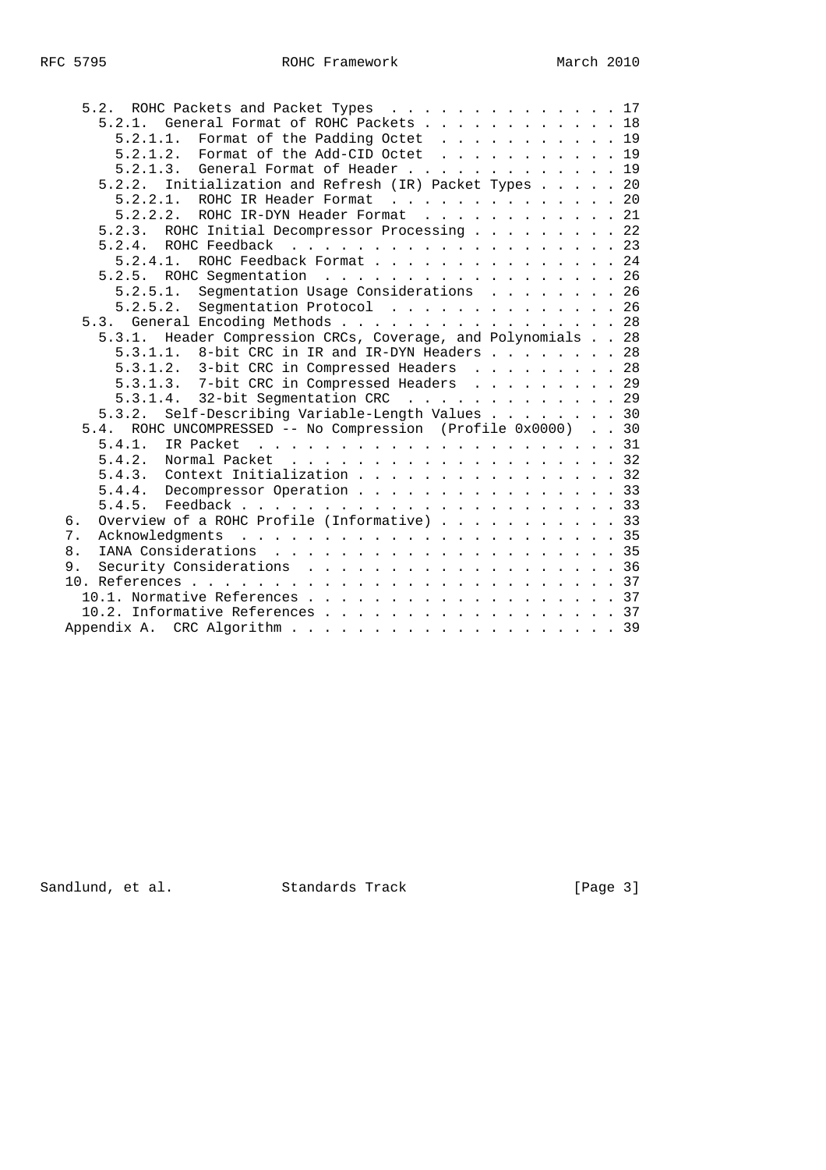| 5.2. ROHC Packets and Packet Types 17                        |  |  |
|--------------------------------------------------------------|--|--|
| 5.2.1. General Format of ROHC Packets 18                     |  |  |
| Format of the Padding Octet 19<br>5.2.1.1.                   |  |  |
| 5.2.1.2. Format of the Add-CID Octet 19                      |  |  |
| 5.2.1.3. General Format of Header 19                         |  |  |
| Initialization and Refresh (IR) Packet Types 20<br>5.2.2.    |  |  |
| ROHC IR Header Format 20<br>5.2.2.1.                         |  |  |
| 5.2.2.2.<br>ROHC IR-DYN Header Format 21                     |  |  |
| 5.2.3. ROHC Initial Decompressor Processing 22               |  |  |
| 5.2.4.                                                       |  |  |
| ROHC Feedback Format 24<br>5.2.4.1.                          |  |  |
| 5.2.5. ROHC Segmentation 26                                  |  |  |
| Segmentation Usage Considerations 26<br>5.2.5.1.             |  |  |
| $5.2.5.2.$ Segmentation Protocol 26                          |  |  |
| 5.3. General Encoding Methods 28                             |  |  |
| 5.3.1. Header Compression CRCs, Coverage, and Polynomials 28 |  |  |
| 5.3.1.1. 8-bit CRC in IR and IR-DYN Headers 28               |  |  |
| 5.3.1.2. 3-bit CRC in Compressed Headers 28                  |  |  |
| 5.3.1.3. 7-bit CRC in Compressed Headers 29                  |  |  |
| 5.3.1.4. 32-bit Segmentation CRC 29                          |  |  |
| 5.3.2. Self-Describing Variable-Length Values 30             |  |  |
| 5.4. ROHC UNCOMPRESSED -- No Compression (Profile 0x0000) 30 |  |  |
| 5.4.1.                                                       |  |  |
|                                                              |  |  |
| 5.4.3. Context Initialization 32                             |  |  |
| 5.4.4. Decompressor Operation 33                             |  |  |
|                                                              |  |  |
| Overview of a ROHC Profile (Informative) 33<br>б.            |  |  |
| 7.                                                           |  |  |
| 8.                                                           |  |  |
| Security Considerations 36<br>9.                             |  |  |
|                                                              |  |  |
| 10.1. Normative References 37                                |  |  |
| 10.2. Informative References 37                              |  |  |
|                                                              |  |  |
|                                                              |  |  |

Sandlund, et al. Standards Track [Page 3]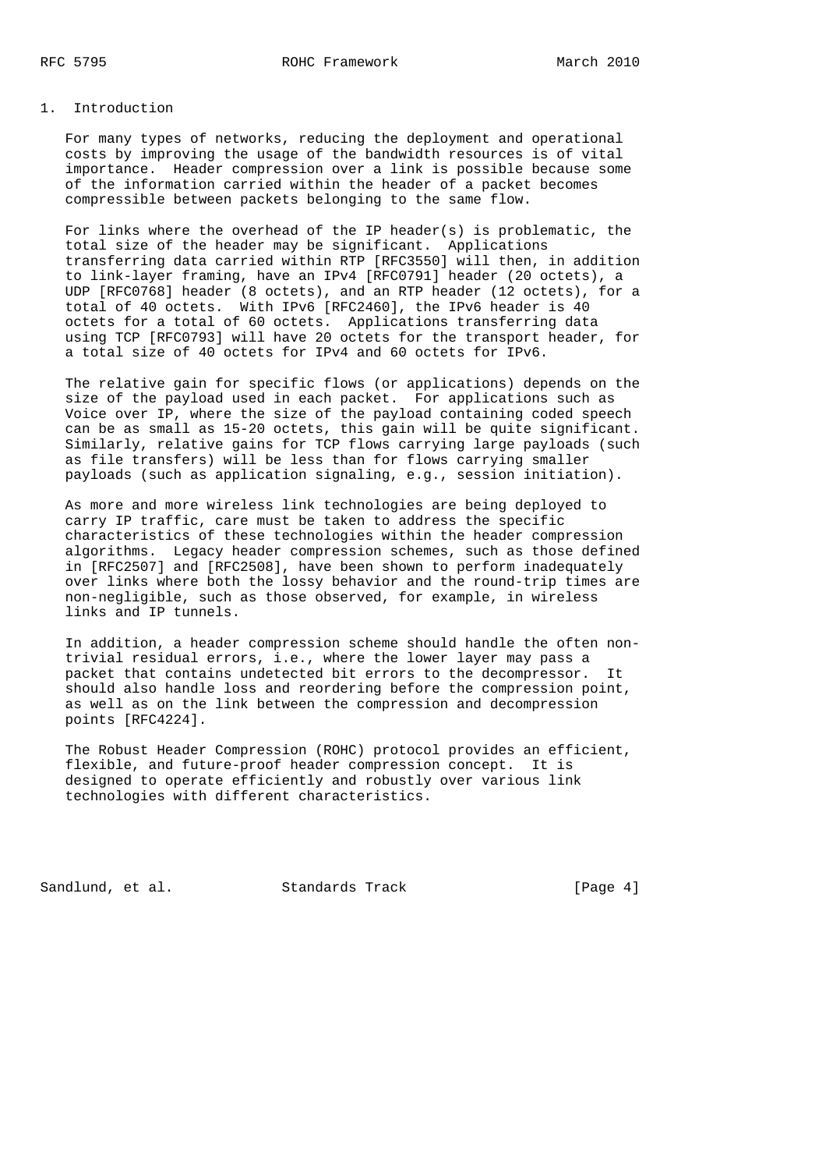## 1. Introduction

 For many types of networks, reducing the deployment and operational costs by improving the usage of the bandwidth resources is of vital importance. Header compression over a link is possible because some of the information carried within the header of a packet becomes compressible between packets belonging to the same flow.

 For links where the overhead of the IP header(s) is problematic, the total size of the header may be significant. Applications transferring data carried within RTP [RFC3550] will then, in addition to link-layer framing, have an IPv4 [RFC0791] header (20 octets), a UDP [RFC0768] header (8 octets), and an RTP header (12 octets), for a total of 40 octets. With IPv6 [RFC2460], the IPv6 header is 40 octets for a total of 60 octets. Applications transferring data using TCP [RFC0793] will have 20 octets for the transport header, for a total size of 40 octets for IPv4 and 60 octets for IPv6.

 The relative gain for specific flows (or applications) depends on the size of the payload used in each packet. For applications such as Voice over IP, where the size of the payload containing coded speech can be as small as 15-20 octets, this gain will be quite significant. Similarly, relative gains for TCP flows carrying large payloads (such as file transfers) will be less than for flows carrying smaller payloads (such as application signaling, e.g., session initiation).

 As more and more wireless link technologies are being deployed to carry IP traffic, care must be taken to address the specific characteristics of these technologies within the header compression algorithms. Legacy header compression schemes, such as those defined in [RFC2507] and [RFC2508], have been shown to perform inadequately over links where both the lossy behavior and the round-trip times are non-negligible, such as those observed, for example, in wireless links and IP tunnels.

 In addition, a header compression scheme should handle the often non trivial residual errors, i.e., where the lower layer may pass a packet that contains undetected bit errors to the decompressor. It should also handle loss and reordering before the compression point, as well as on the link between the compression and decompression points [RFC4224].

 The Robust Header Compression (ROHC) protocol provides an efficient, flexible, and future-proof header compression concept. It is designed to operate efficiently and robustly over various link technologies with different characteristics.

Sandlund, et al. Standards Track [Page 4]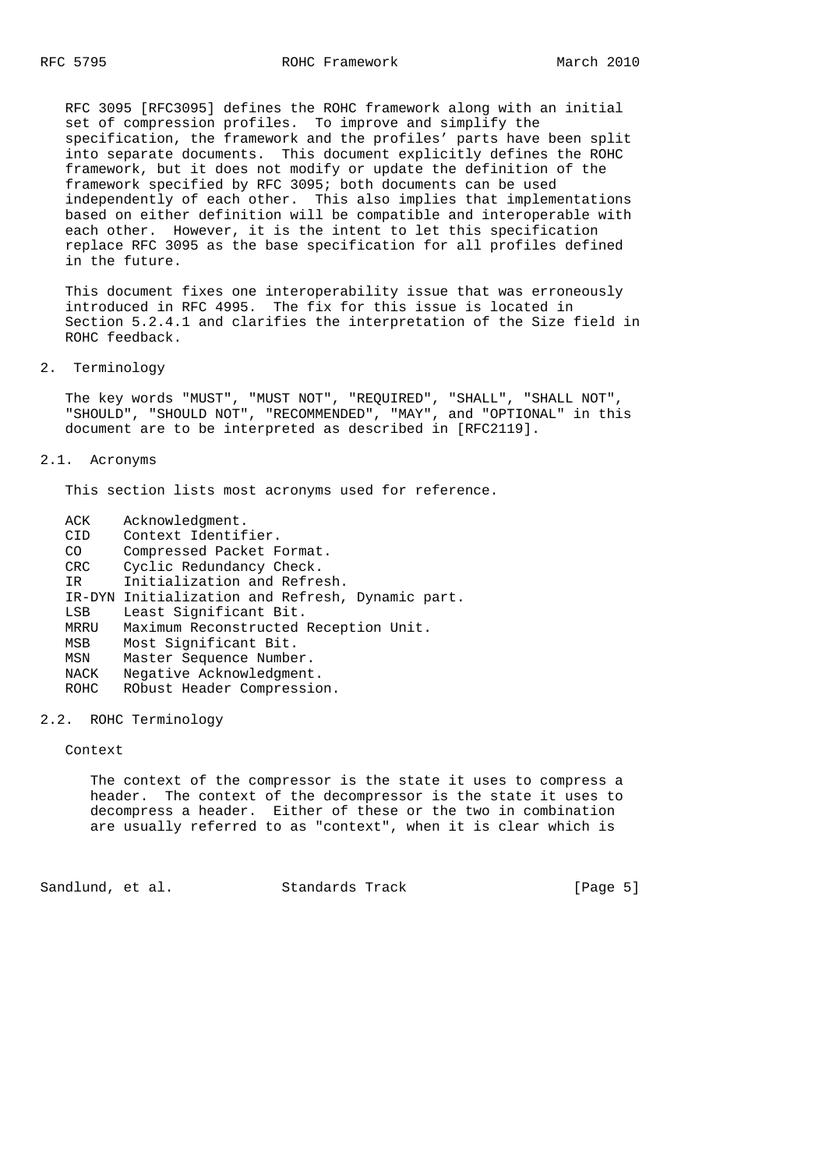RFC 3095 [RFC3095] defines the ROHC framework along with an initial set of compression profiles. To improve and simplify the specification, the framework and the profiles' parts have been split into separate documents. This document explicitly defines the ROHC framework, but it does not modify or update the definition of the framework specified by RFC 3095; both documents can be used independently of each other. This also implies that implementations based on either definition will be compatible and interoperable with each other. However, it is the intent to let this specification replace RFC 3095 as the base specification for all profiles defined in the future.

 This document fixes one interoperability issue that was erroneously introduced in RFC 4995. The fix for this issue is located in Section 5.2.4.1 and clarifies the interpretation of the Size field in ROHC feedback.

2. Terminology

 The key words "MUST", "MUST NOT", "REQUIRED", "SHALL", "SHALL NOT", "SHOULD", "SHOULD NOT", "RECOMMENDED", "MAY", and "OPTIONAL" in this document are to be interpreted as described in [RFC2119].

### 2.1. Acronyms

This section lists most acronyms used for reference.

| ACK        | Acknowledgment.                                  |
|------------|--------------------------------------------------|
| CID        | Context Identifier.                              |
| CO.        | Compressed Packet Format.                        |
| <b>CRC</b> | Cyclic Redundancy Check.                         |
| TR.        | Initialization and Refresh.                      |
|            | IR-DYN Initialization and Refresh, Dynamic part. |
| LSB        | Least Significant Bit.                           |
| MRRU       | Maximum Reconstructed Reception Unit.            |
| MSB        | Most Significant Bit.                            |
| MSN        | Master Sequence Number.                          |
| NACK       | Negative Acknowledgment.                         |
| ROHC       | RObust Header Compression.                       |
|            |                                                  |

### 2.2. ROHC Terminology

Context

 The context of the compressor is the state it uses to compress a header. The context of the decompressor is the state it uses to decompress a header. Either of these or the two in combination are usually referred to as "context", when it is clear which is

Sandlund, et al. Standards Track [Page 5]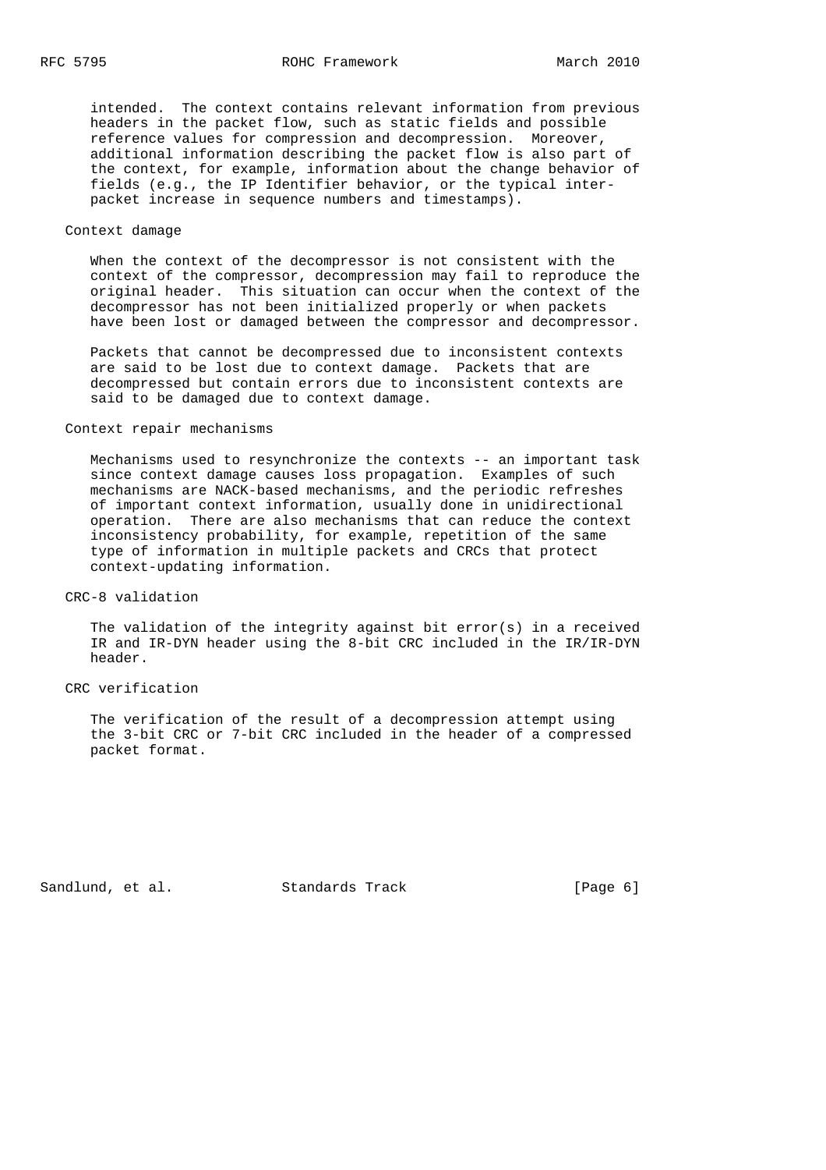intended. The context contains relevant information from previous headers in the packet flow, such as static fields and possible reference values for compression and decompression. Moreover, additional information describing the packet flow is also part of the context, for example, information about the change behavior of fields (e.g., the IP Identifier behavior, or the typical inter packet increase in sequence numbers and timestamps).

## Context damage

 When the context of the decompressor is not consistent with the context of the compressor, decompression may fail to reproduce the original header. This situation can occur when the context of the decompressor has not been initialized properly or when packets have been lost or damaged between the compressor and decompressor.

 Packets that cannot be decompressed due to inconsistent contexts are said to be lost due to context damage. Packets that are decompressed but contain errors due to inconsistent contexts are said to be damaged due to context damage.

### Context repair mechanisms

 Mechanisms used to resynchronize the contexts -- an important task since context damage causes loss propagation. Examples of such mechanisms are NACK-based mechanisms, and the periodic refreshes of important context information, usually done in unidirectional operation. There are also mechanisms that can reduce the context inconsistency probability, for example, repetition of the same type of information in multiple packets and CRCs that protect context-updating information.

### CRC-8 validation

The validation of the integrity against bit  $error(s)$  in a received IR and IR-DYN header using the 8-bit CRC included in the IR/IR-DYN header.

#### CRC verification

 The verification of the result of a decompression attempt using the 3-bit CRC or 7-bit CRC included in the header of a compressed packet format.

Sandlund, et al. Standards Track [Page 6]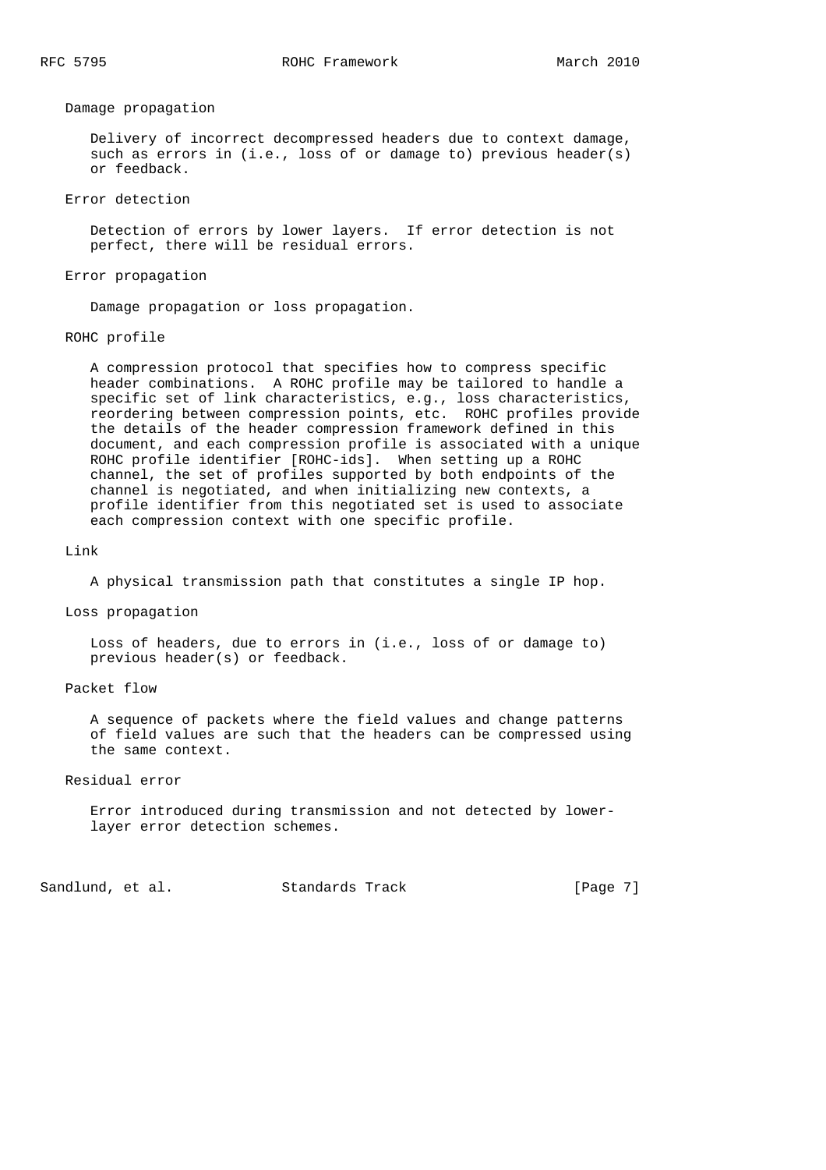Damage propagation

 Delivery of incorrect decompressed headers due to context damage, such as errors in (i.e., loss of or damage to) previous header(s) or feedback.

Error detection

 Detection of errors by lower layers. If error detection is not perfect, there will be residual errors.

Error propagation

Damage propagation or loss propagation.

ROHC profile

 A compression protocol that specifies how to compress specific header combinations. A ROHC profile may be tailored to handle a specific set of link characteristics, e.g., loss characteristics, reordering between compression points, etc. ROHC profiles provide the details of the header compression framework defined in this document, and each compression profile is associated with a unique ROHC profile identifier [ROHC-ids]. When setting up a ROHC channel, the set of profiles supported by both endpoints of the channel is negotiated, and when initializing new contexts, a profile identifier from this negotiated set is used to associate each compression context with one specific profile.

Link

A physical transmission path that constitutes a single IP hop.

Loss propagation

 Loss of headers, due to errors in (i.e., loss of or damage to) previous header(s) or feedback.

Packet flow

 A sequence of packets where the field values and change patterns of field values are such that the headers can be compressed using the same context.

Residual error

 Error introduced during transmission and not detected by lower layer error detection schemes.

Sandlund, et al. Standards Track [Page 7]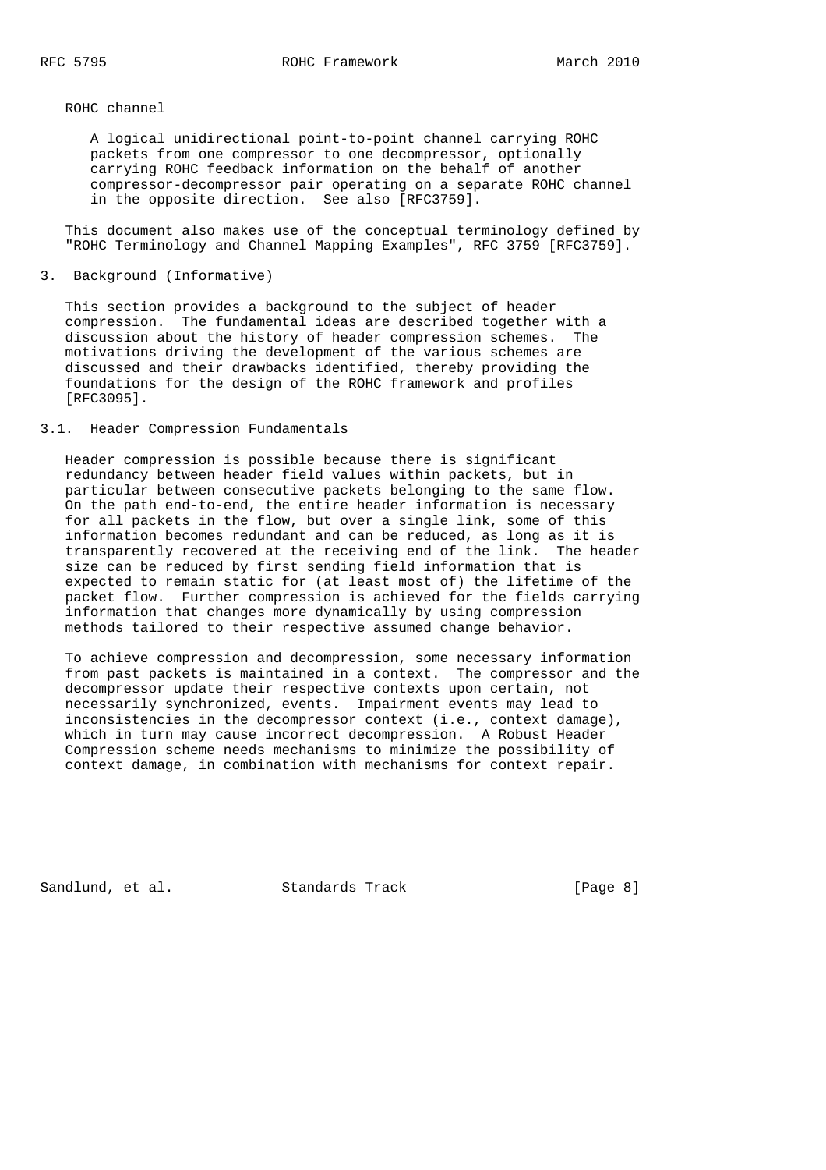ROHC channel

 A logical unidirectional point-to-point channel carrying ROHC packets from one compressor to one decompressor, optionally carrying ROHC feedback information on the behalf of another compressor-decompressor pair operating on a separate ROHC channel in the opposite direction. See also [RFC3759].

 This document also makes use of the conceptual terminology defined by "ROHC Terminology and Channel Mapping Examples", RFC 3759 [RFC3759].

3. Background (Informative)

 This section provides a background to the subject of header compression. The fundamental ideas are described together with a discussion about the history of header compression schemes. The motivations driving the development of the various schemes are discussed and their drawbacks identified, thereby providing the foundations for the design of the ROHC framework and profiles [RFC3095].

3.1. Header Compression Fundamentals

 Header compression is possible because there is significant redundancy between header field values within packets, but in particular between consecutive packets belonging to the same flow. On the path end-to-end, the entire header information is necessary for all packets in the flow, but over a single link, some of this information becomes redundant and can be reduced, as long as it is transparently recovered at the receiving end of the link. The header size can be reduced by first sending field information that is expected to remain static for (at least most of) the lifetime of the packet flow. Further compression is achieved for the fields carrying information that changes more dynamically by using compression methods tailored to their respective assumed change behavior.

 To achieve compression and decompression, some necessary information from past packets is maintained in a context. The compressor and the decompressor update their respective contexts upon certain, not necessarily synchronized, events. Impairment events may lead to inconsistencies in the decompressor context (i.e., context damage), which in turn may cause incorrect decompression. A Robust Header Compression scheme needs mechanisms to minimize the possibility of context damage, in combination with mechanisms for context repair.

Sandlund, et al. Standards Track [Page 8]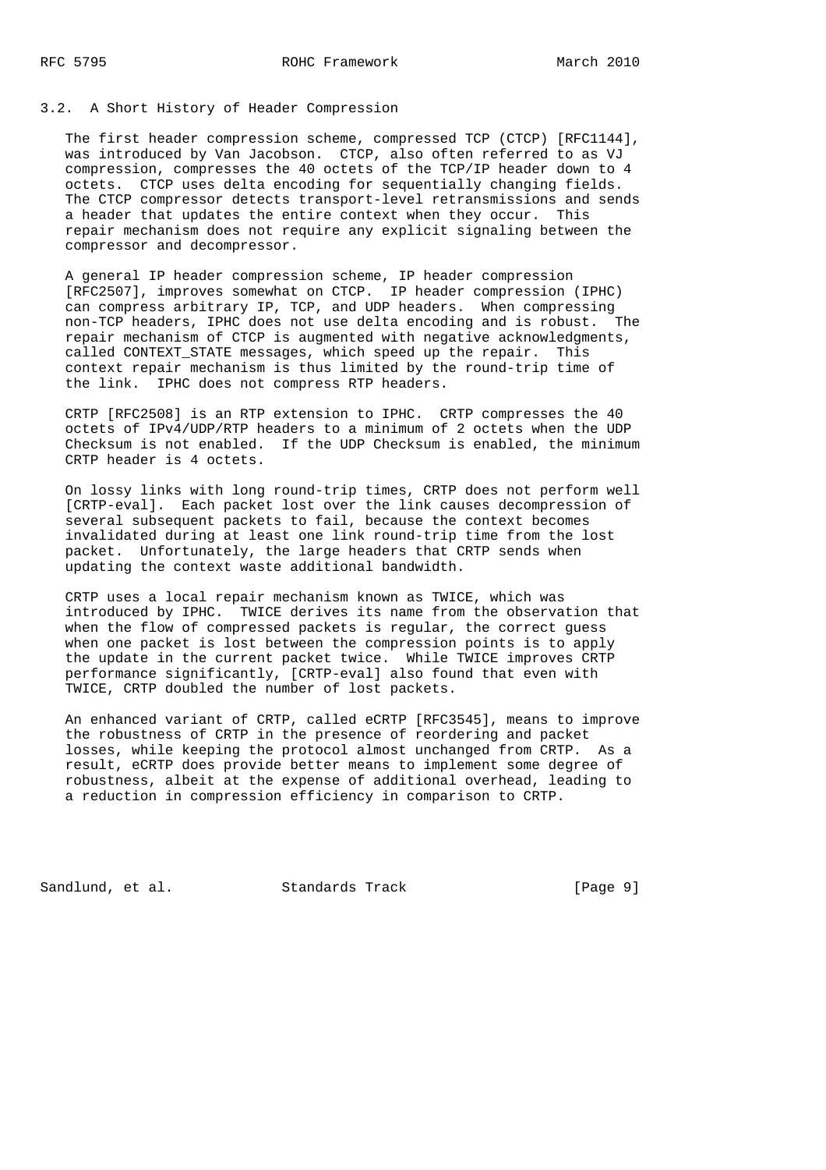### 3.2. A Short History of Header Compression

 The first header compression scheme, compressed TCP (CTCP) [RFC1144], was introduced by Van Jacobson. CTCP, also often referred to as VJ compression, compresses the 40 octets of the TCP/IP header down to 4 octets. CTCP uses delta encoding for sequentially changing fields. The CTCP compressor detects transport-level retransmissions and sends a header that updates the entire context when they occur. This repair mechanism does not require any explicit signaling between the compressor and decompressor.

 A general IP header compression scheme, IP header compression [RFC2507], improves somewhat on CTCP. IP header compression (IPHC) can compress arbitrary IP, TCP, and UDP headers. When compressing non-TCP headers, IPHC does not use delta encoding and is robust. The repair mechanism of CTCP is augmented with negative acknowledgments, called CONTEXT\_STATE messages, which speed up the repair. This context repair mechanism is thus limited by the round-trip time of the link. IPHC does not compress RTP headers.

 CRTP [RFC2508] is an RTP extension to IPHC. CRTP compresses the 40 octets of IPv4/UDP/RTP headers to a minimum of 2 octets when the UDP Checksum is not enabled. If the UDP Checksum is enabled, the minimum CRTP header is 4 octets.

 On lossy links with long round-trip times, CRTP does not perform well [CRTP-eval]. Each packet lost over the link causes decompression of several subsequent packets to fail, because the context becomes invalidated during at least one link round-trip time from the lost packet. Unfortunately, the large headers that CRTP sends when updating the context waste additional bandwidth.

 CRTP uses a local repair mechanism known as TWICE, which was introduced by IPHC. TWICE derives its name from the observation that when the flow of compressed packets is regular, the correct guess when one packet is lost between the compression points is to apply the update in the current packet twice. While TWICE improves CRTP performance significantly, [CRTP-eval] also found that even with TWICE, CRTP doubled the number of lost packets.

 An enhanced variant of CRTP, called eCRTP [RFC3545], means to improve the robustness of CRTP in the presence of reordering and packet losses, while keeping the protocol almost unchanged from CRTP. As a result, eCRTP does provide better means to implement some degree of robustness, albeit at the expense of additional overhead, leading to a reduction in compression efficiency in comparison to CRTP.

Sandlund, et al. Standards Track [Page 9]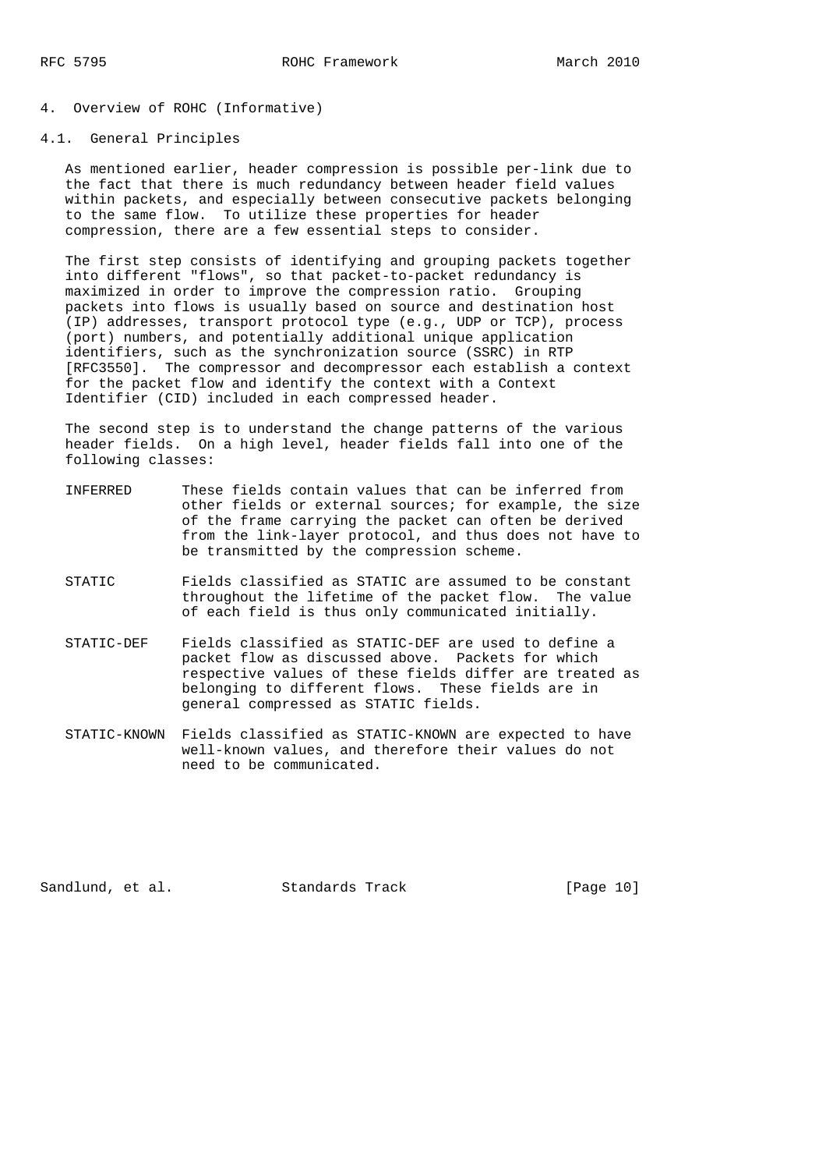# 4. Overview of ROHC (Informative)

### 4.1. General Principles

 As mentioned earlier, header compression is possible per-link due to the fact that there is much redundancy between header field values within packets, and especially between consecutive packets belonging to the same flow. To utilize these properties for header compression, there are a few essential steps to consider.

 The first step consists of identifying and grouping packets together into different "flows", so that packet-to-packet redundancy is maximized in order to improve the compression ratio. Grouping packets into flows is usually based on source and destination host (IP) addresses, transport protocol type (e.g., UDP or TCP), process (port) numbers, and potentially additional unique application identifiers, such as the synchronization source (SSRC) in RTP [RFC3550]. The compressor and decompressor each establish a context for the packet flow and identify the context with a Context Identifier (CID) included in each compressed header.

 The second step is to understand the change patterns of the various header fields. On a high level, header fields fall into one of the following classes:

- INFERRED These fields contain values that can be inferred from other fields or external sources; for example, the size of the frame carrying the packet can often be derived from the link-layer protocol, and thus does not have to be transmitted by the compression scheme.
- STATIC Fields classified as STATIC are assumed to be constant throughout the lifetime of the packet flow. The value of each field is thus only communicated initially.
- STATIC-DEF Fields classified as STATIC-DEF are used to define a packet flow as discussed above. Packets for which respective values of these fields differ are treated as belonging to different flows. These fields are in general compressed as STATIC fields.
- STATIC-KNOWN Fields classified as STATIC-KNOWN are expected to have well-known values, and therefore their values do not need to be communicated.

Sandlund, et al. Standards Track [Page 10]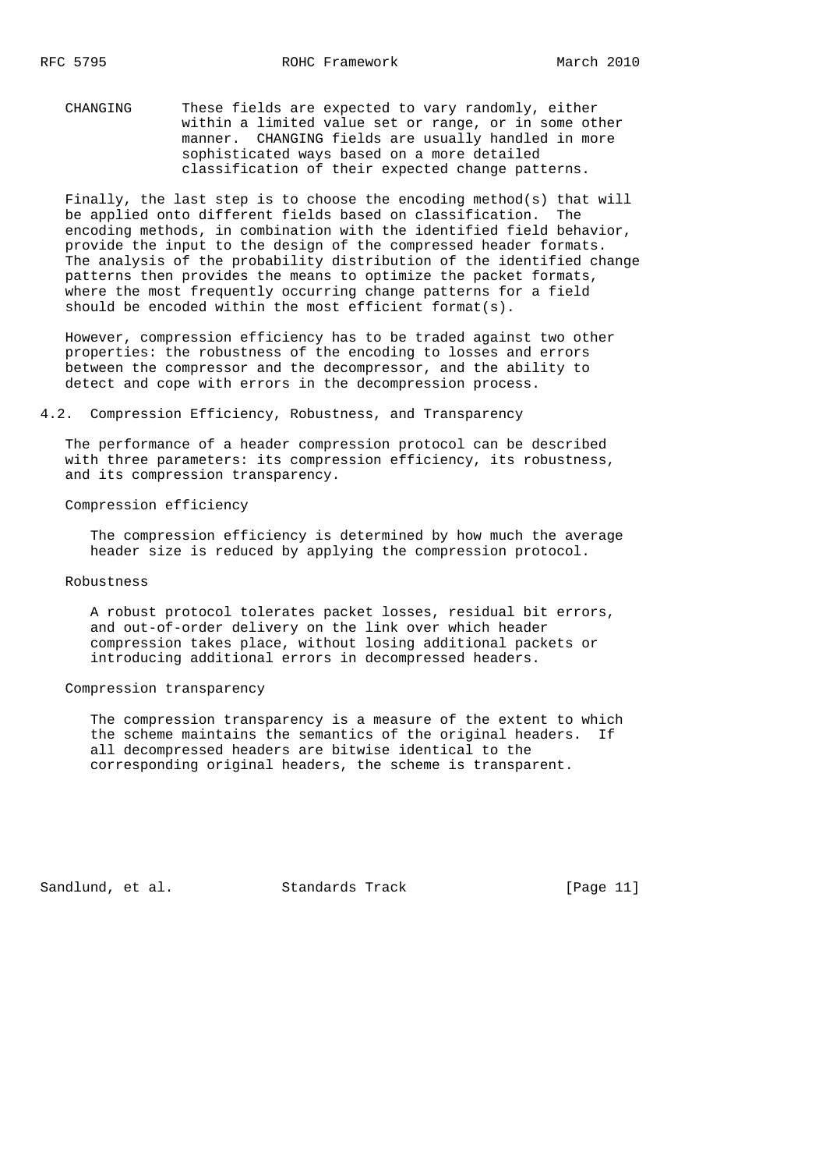CHANGING These fields are expected to vary randomly, either within a limited value set or range, or in some other manner. CHANGING fields are usually handled in more sophisticated ways based on a more detailed classification of their expected change patterns.

 Finally, the last step is to choose the encoding method(s) that will be applied onto different fields based on classification. The encoding methods, in combination with the identified field behavior, provide the input to the design of the compressed header formats. The analysis of the probability distribution of the identified change patterns then provides the means to optimize the packet formats, where the most frequently occurring change patterns for a field should be encoded within the most efficient format(s).

 However, compression efficiency has to be traded against two other properties: the robustness of the encoding to losses and errors between the compressor and the decompressor, and the ability to detect and cope with errors in the decompression process.

4.2. Compression Efficiency, Robustness, and Transparency

 The performance of a header compression protocol can be described with three parameters: its compression efficiency, its robustness, and its compression transparency.

Compression efficiency

 The compression efficiency is determined by how much the average header size is reduced by applying the compression protocol.

#### Robustness

 A robust protocol tolerates packet losses, residual bit errors, and out-of-order delivery on the link over which header compression takes place, without losing additional packets or introducing additional errors in decompressed headers.

## Compression transparency

 The compression transparency is a measure of the extent to which the scheme maintains the semantics of the original headers. If all decompressed headers are bitwise identical to the corresponding original headers, the scheme is transparent.

Sandlund, et al. Standards Track [Page 11]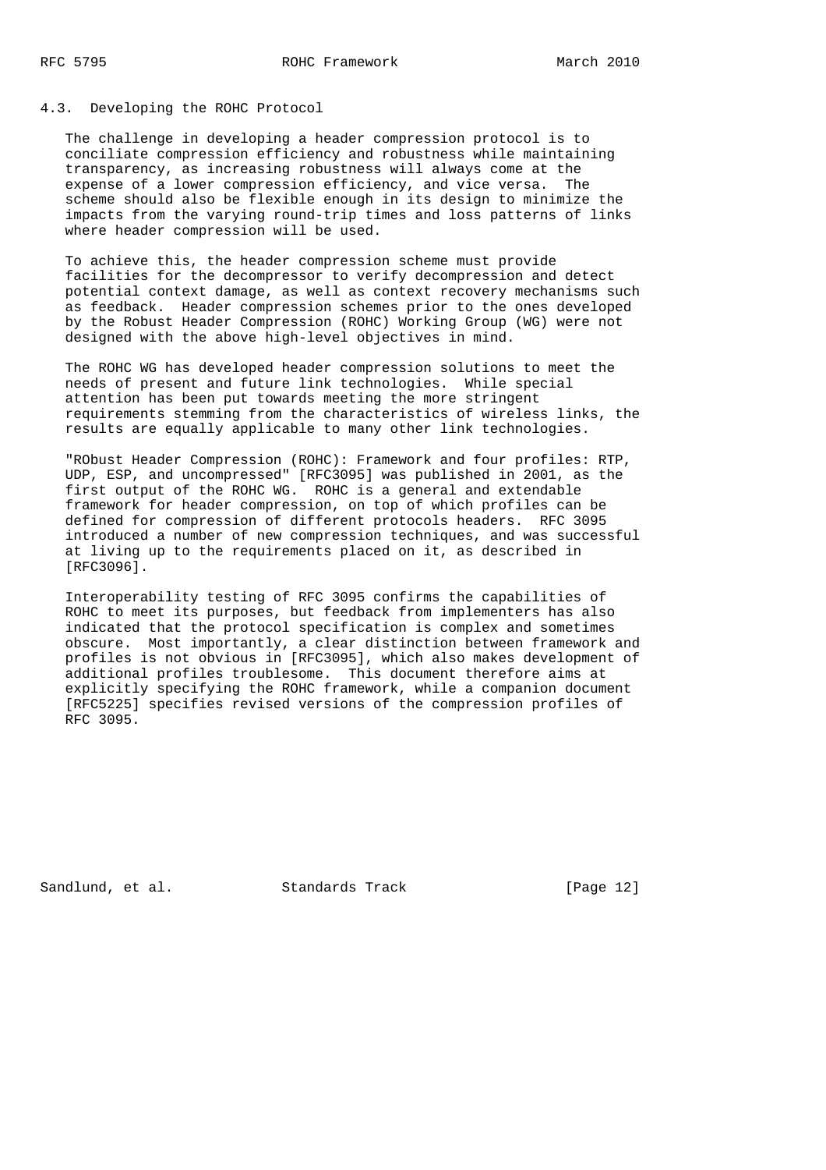## 4.3. Developing the ROHC Protocol

 The challenge in developing a header compression protocol is to conciliate compression efficiency and robustness while maintaining transparency, as increasing robustness will always come at the expense of a lower compression efficiency, and vice versa. The scheme should also be flexible enough in its design to minimize the impacts from the varying round-trip times and loss patterns of links where header compression will be used.

 To achieve this, the header compression scheme must provide facilities for the decompressor to verify decompression and detect potential context damage, as well as context recovery mechanisms such as feedback. Header compression schemes prior to the ones developed by the Robust Header Compression (ROHC) Working Group (WG) were not designed with the above high-level objectives in mind.

 The ROHC WG has developed header compression solutions to meet the needs of present and future link technologies. While special attention has been put towards meeting the more stringent requirements stemming from the characteristics of wireless links, the results are equally applicable to many other link technologies.

 "RObust Header Compression (ROHC): Framework and four profiles: RTP, UDP, ESP, and uncompressed" [RFC3095] was published in 2001, as the first output of the ROHC WG. ROHC is a general and extendable framework for header compression, on top of which profiles can be defined for compression of different protocols headers. RFC 3095 introduced a number of new compression techniques, and was successful at living up to the requirements placed on it, as described in [RFC3096].

 Interoperability testing of RFC 3095 confirms the capabilities of ROHC to meet its purposes, but feedback from implementers has also indicated that the protocol specification is complex and sometimes obscure. Most importantly, a clear distinction between framework and profiles is not obvious in [RFC3095], which also makes development of additional profiles troublesome. This document therefore aims at explicitly specifying the ROHC framework, while a companion document [RFC5225] specifies revised versions of the compression profiles of RFC 3095.

Sandlund, et al. Standards Track [Page 12]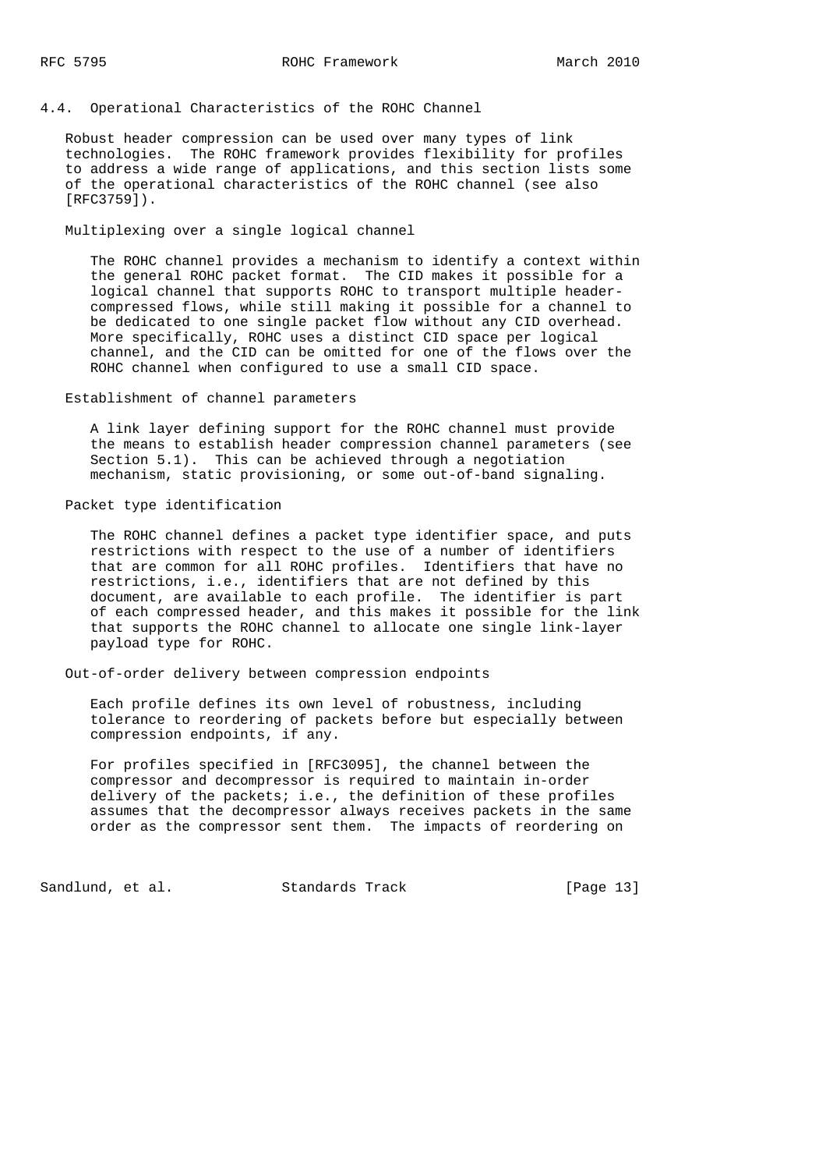4.4. Operational Characteristics of the ROHC Channel

 Robust header compression can be used over many types of link technologies. The ROHC framework provides flexibility for profiles to address a wide range of applications, and this section lists some of the operational characteristics of the ROHC channel (see also [RFC3759]).

Multiplexing over a single logical channel

 The ROHC channel provides a mechanism to identify a context within the general ROHC packet format. The CID makes it possible for a logical channel that supports ROHC to transport multiple header compressed flows, while still making it possible for a channel to be dedicated to one single packet flow without any CID overhead. More specifically, ROHC uses a distinct CID space per logical channel, and the CID can be omitted for one of the flows over the ROHC channel when configured to use a small CID space.

Establishment of channel parameters

 A link layer defining support for the ROHC channel must provide the means to establish header compression channel parameters (see Section 5.1). This can be achieved through a negotiation mechanism, static provisioning, or some out-of-band signaling.

Packet type identification

 The ROHC channel defines a packet type identifier space, and puts restrictions with respect to the use of a number of identifiers that are common for all ROHC profiles. Identifiers that have no restrictions, i.e., identifiers that are not defined by this document, are available to each profile. The identifier is part of each compressed header, and this makes it possible for the link that supports the ROHC channel to allocate one single link-layer payload type for ROHC.

Out-of-order delivery between compression endpoints

 Each profile defines its own level of robustness, including tolerance to reordering of packets before but especially between compression endpoints, if any.

 For profiles specified in [RFC3095], the channel between the compressor and decompressor is required to maintain in-order delivery of the packets; i.e., the definition of these profiles assumes that the decompressor always receives packets in the same order as the compressor sent them. The impacts of reordering on

Sandlund, et al. Standards Track [Page 13]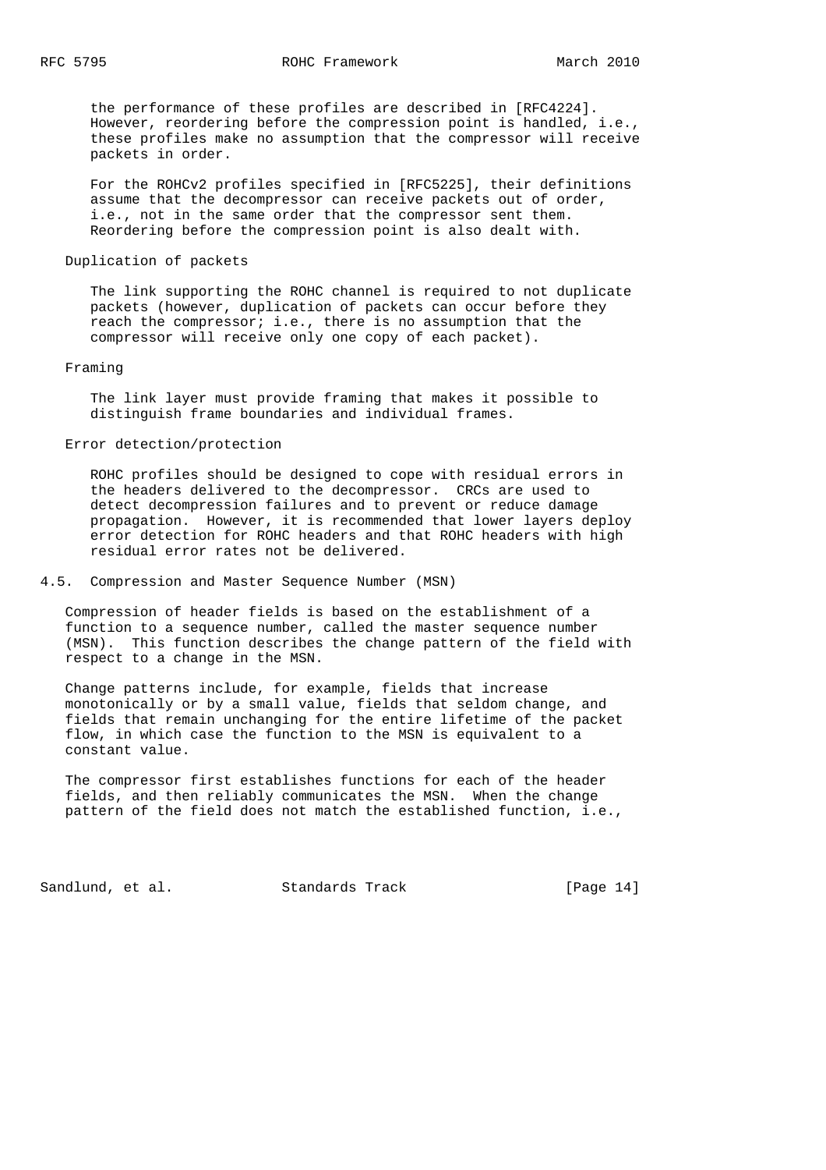the performance of these profiles are described in [RFC4224]. However, reordering before the compression point is handled, i.e., these profiles make no assumption that the compressor will receive packets in order.

 For the ROHCv2 profiles specified in [RFC5225], their definitions assume that the decompressor can receive packets out of order, i.e., not in the same order that the compressor sent them. Reordering before the compression point is also dealt with.

### Duplication of packets

 The link supporting the ROHC channel is required to not duplicate packets (however, duplication of packets can occur before they reach the compressor; i.e., there is no assumption that the compressor will receive only one copy of each packet).

#### Framing

 The link layer must provide framing that makes it possible to distinguish frame boundaries and individual frames.

### Error detection/protection

 ROHC profiles should be designed to cope with residual errors in the headers delivered to the decompressor. CRCs are used to detect decompression failures and to prevent or reduce damage propagation. However, it is recommended that lower layers deploy error detection for ROHC headers and that ROHC headers with high residual error rates not be delivered.

### 4.5. Compression and Master Sequence Number (MSN)

 Compression of header fields is based on the establishment of a function to a sequence number, called the master sequence number (MSN). This function describes the change pattern of the field with respect to a change in the MSN.

 Change patterns include, for example, fields that increase monotonically or by a small value, fields that seldom change, and fields that remain unchanging for the entire lifetime of the packet flow, in which case the function to the MSN is equivalent to a constant value.

 The compressor first establishes functions for each of the header fields, and then reliably communicates the MSN. When the change pattern of the field does not match the established function, i.e.,

Sandlund, et al. Standards Track [Page 14]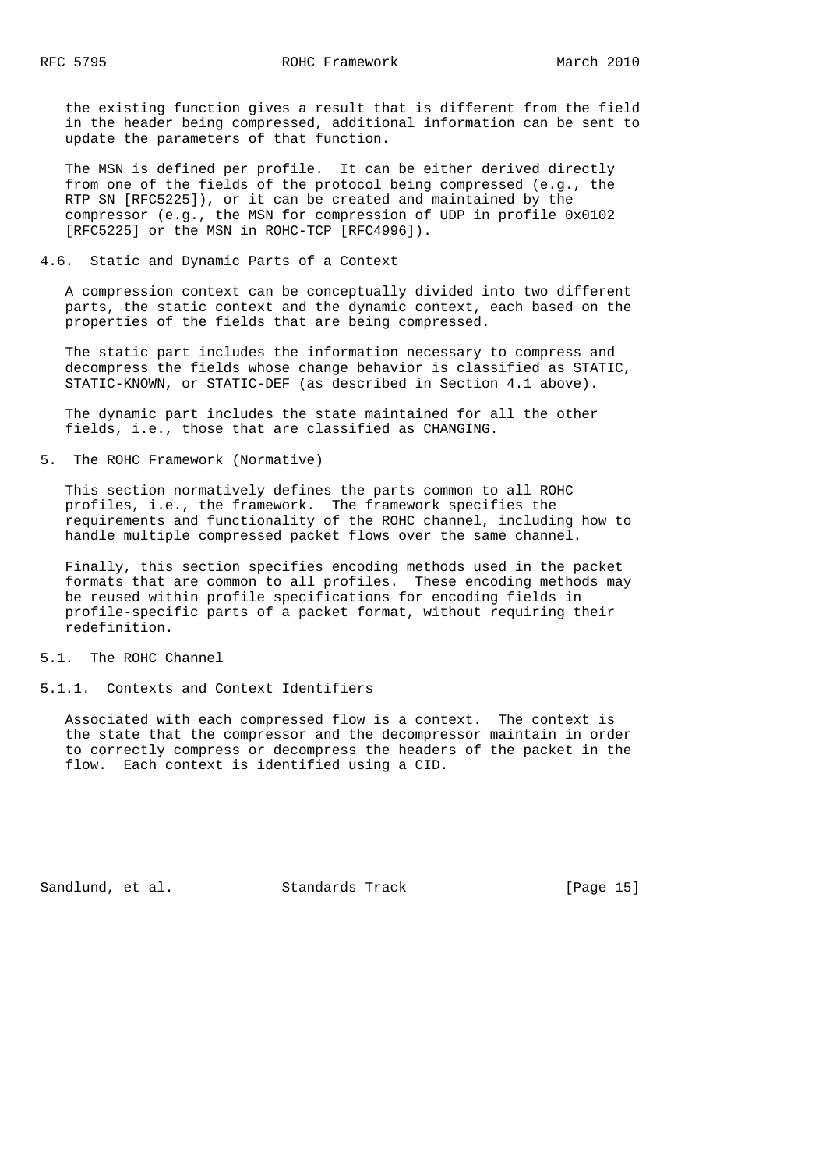the existing function gives a result that is different from the field in the header being compressed, additional information can be sent to update the parameters of that function.

 The MSN is defined per profile. It can be either derived directly from one of the fields of the protocol being compressed (e.g., the RTP SN [RFC5225]), or it can be created and maintained by the compressor (e.g., the MSN for compression of UDP in profile 0x0102 [RFC5225] or the MSN in ROHC-TCP [RFC4996]).

4.6. Static and Dynamic Parts of a Context

 A compression context can be conceptually divided into two different parts, the static context and the dynamic context, each based on the properties of the fields that are being compressed.

 The static part includes the information necessary to compress and decompress the fields whose change behavior is classified as STATIC, STATIC-KNOWN, or STATIC-DEF (as described in Section 4.1 above).

 The dynamic part includes the state maintained for all the other fields, i.e., those that are classified as CHANGING.

5. The ROHC Framework (Normative)

 This section normatively defines the parts common to all ROHC profiles, i.e., the framework. The framework specifies the requirements and functionality of the ROHC channel, including how to handle multiple compressed packet flows over the same channel.

 Finally, this section specifies encoding methods used in the packet formats that are common to all profiles. These encoding methods may be reused within profile specifications for encoding fields in profile-specific parts of a packet format, without requiring their redefinition.

5.1. The ROHC Channel

5.1.1. Contexts and Context Identifiers

 Associated with each compressed flow is a context. The context is the state that the compressor and the decompressor maintain in order to correctly compress or decompress the headers of the packet in the flow. Each context is identified using a CID.

Sandlund, et al. Standards Track [Page 15]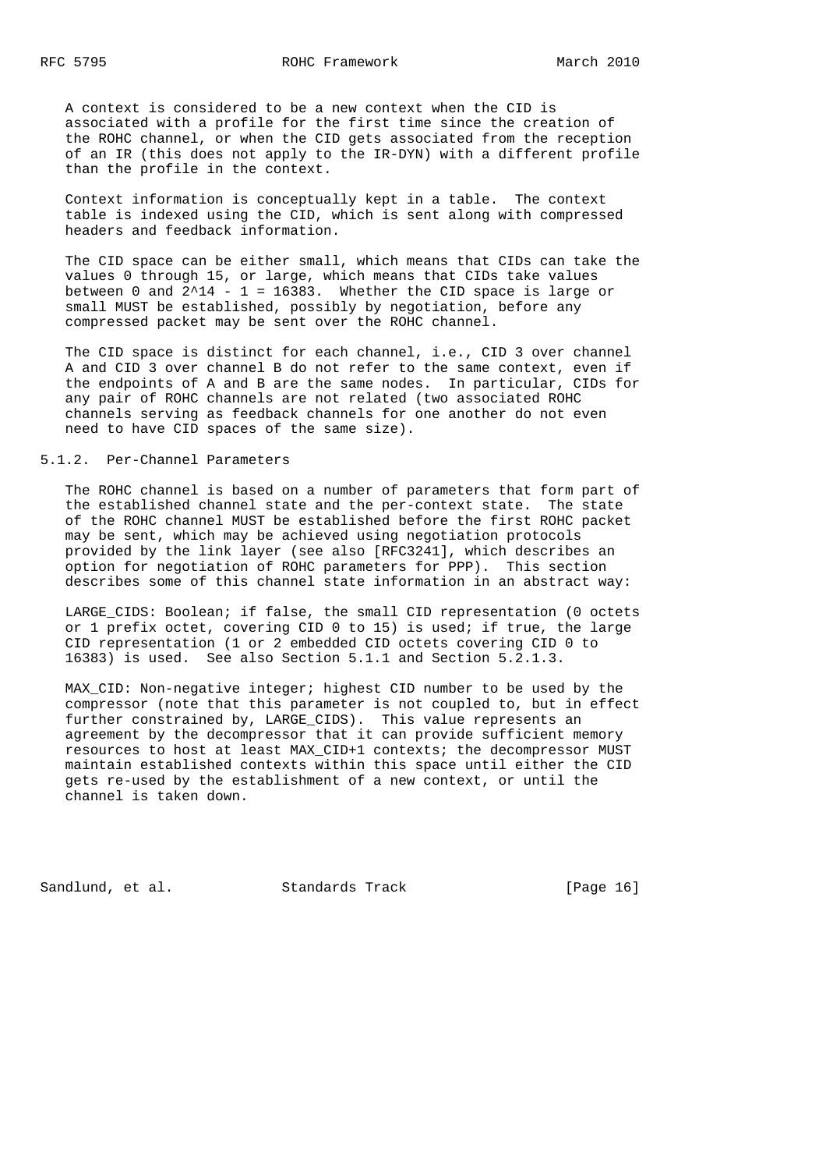A context is considered to be a new context when the CID is associated with a profile for the first time since the creation of the ROHC channel, or when the CID gets associated from the reception of an IR (this does not apply to the IR-DYN) with a different profile than the profile in the context.

 Context information is conceptually kept in a table. The context table is indexed using the CID, which is sent along with compressed headers and feedback information.

 The CID space can be either small, which means that CIDs can take the values 0 through 15, or large, which means that CIDs take values between 0 and  $2^14 - 1 = 16383$ . Whether the CID space is large or small MUST be established, possibly by negotiation, before any compressed packet may be sent over the ROHC channel.

 The CID space is distinct for each channel, i.e., CID 3 over channel A and CID 3 over channel B do not refer to the same context, even if the endpoints of A and B are the same nodes. In particular, CIDs for any pair of ROHC channels are not related (two associated ROHC channels serving as feedback channels for one another do not even need to have CID spaces of the same size).

## 5.1.2. Per-Channel Parameters

 The ROHC channel is based on a number of parameters that form part of the established channel state and the per-context state. The state of the ROHC channel MUST be established before the first ROHC packet may be sent, which may be achieved using negotiation protocols provided by the link layer (see also [RFC3241], which describes an option for negotiation of ROHC parameters for PPP). This section describes some of this channel state information in an abstract way:

LARGE CIDS: Boolean; if false, the small CID representation (0 octets or 1 prefix octet, covering CID 0 to 15) is used; if true, the large CID representation (1 or 2 embedded CID octets covering CID 0 to 16383) is used. See also Section 5.1.1 and Section 5.2.1.3.

 MAX\_CID: Non-negative integer; highest CID number to be used by the compressor (note that this parameter is not coupled to, but in effect further constrained by, LARGE\_CIDS). This value represents an agreement by the decompressor that it can provide sufficient memory resources to host at least MAX\_CID+1 contexts; the decompressor MUST maintain established contexts within this space until either the CID gets re-used by the establishment of a new context, or until the channel is taken down.

Sandlund, et al. Standards Track [Page 16]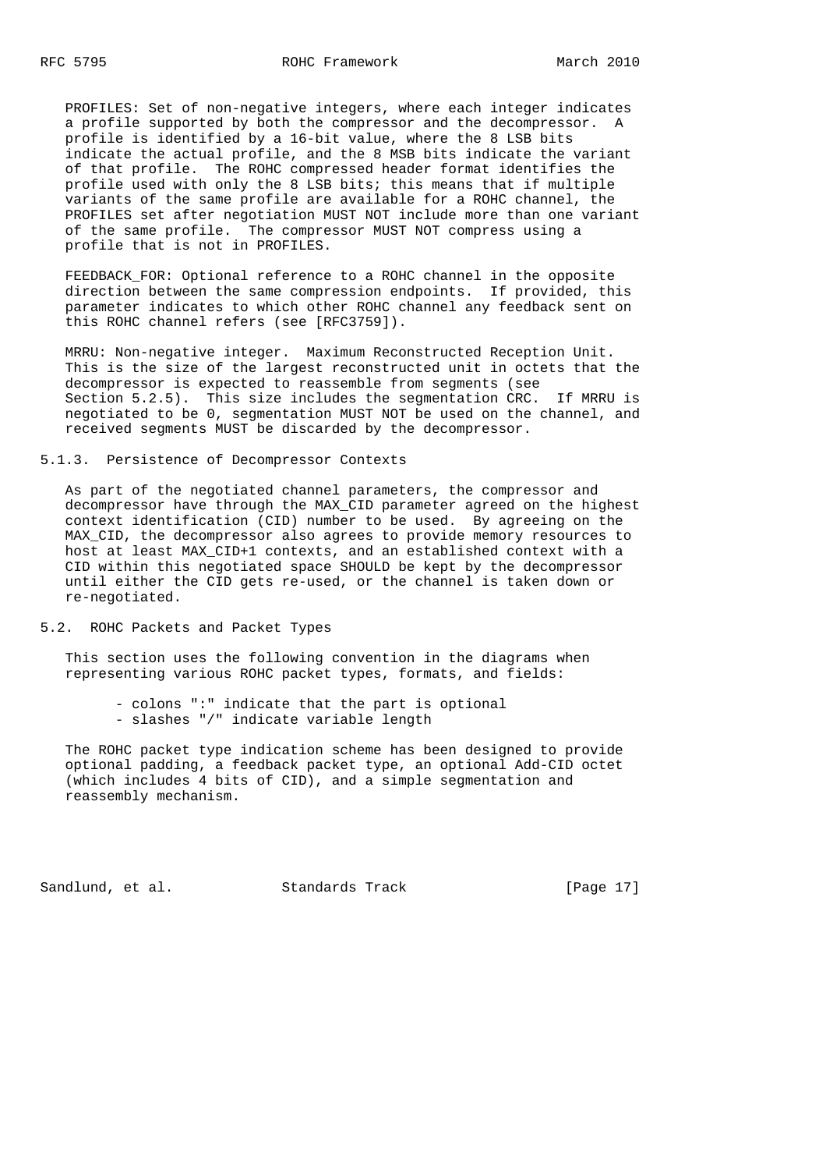PROFILES: Set of non-negative integers, where each integer indicates a profile supported by both the compressor and the decompressor. A profile is identified by a 16-bit value, where the 8 LSB bits indicate the actual profile, and the 8 MSB bits indicate the variant of that profile. The ROHC compressed header format identifies the profile used with only the 8 LSB bits; this means that if multiple variants of the same profile are available for a ROHC channel, the PROFILES set after negotiation MUST NOT include more than one variant of the same profile. The compressor MUST NOT compress using a profile that is not in PROFILES.

FEEDBACK FOR: Optional reference to a ROHC channel in the opposite direction between the same compression endpoints. If provided, this parameter indicates to which other ROHC channel any feedback sent on this ROHC channel refers (see [RFC3759]).

 MRRU: Non-negative integer. Maximum Reconstructed Reception Unit. This is the size of the largest reconstructed unit in octets that the decompressor is expected to reassemble from segments (see Section 5.2.5). This size includes the segmentation CRC. If MRRU is negotiated to be 0, segmentation MUST NOT be used on the channel, and received segments MUST be discarded by the decompressor.

# 5.1.3. Persistence of Decompressor Contexts

 As part of the negotiated channel parameters, the compressor and decompressor have through the MAX\_CID parameter agreed on the highest context identification (CID) number to be used. By agreeing on the MAX\_CID, the decompressor also agrees to provide memory resources to host at least MAX\_CID+1 contexts, and an established context with a CID within this negotiated space SHOULD be kept by the decompressor until either the CID gets re-used, or the channel is taken down or re-negotiated.

5.2. ROHC Packets and Packet Types

 This section uses the following convention in the diagrams when representing various ROHC packet types, formats, and fields:

 - colons ":" indicate that the part is optional - slashes "/" indicate variable length

 The ROHC packet type indication scheme has been designed to provide optional padding, a feedback packet type, an optional Add-CID octet (which includes 4 bits of CID), and a simple segmentation and reassembly mechanism.

Sandlund, et al. Standards Track [Page 17]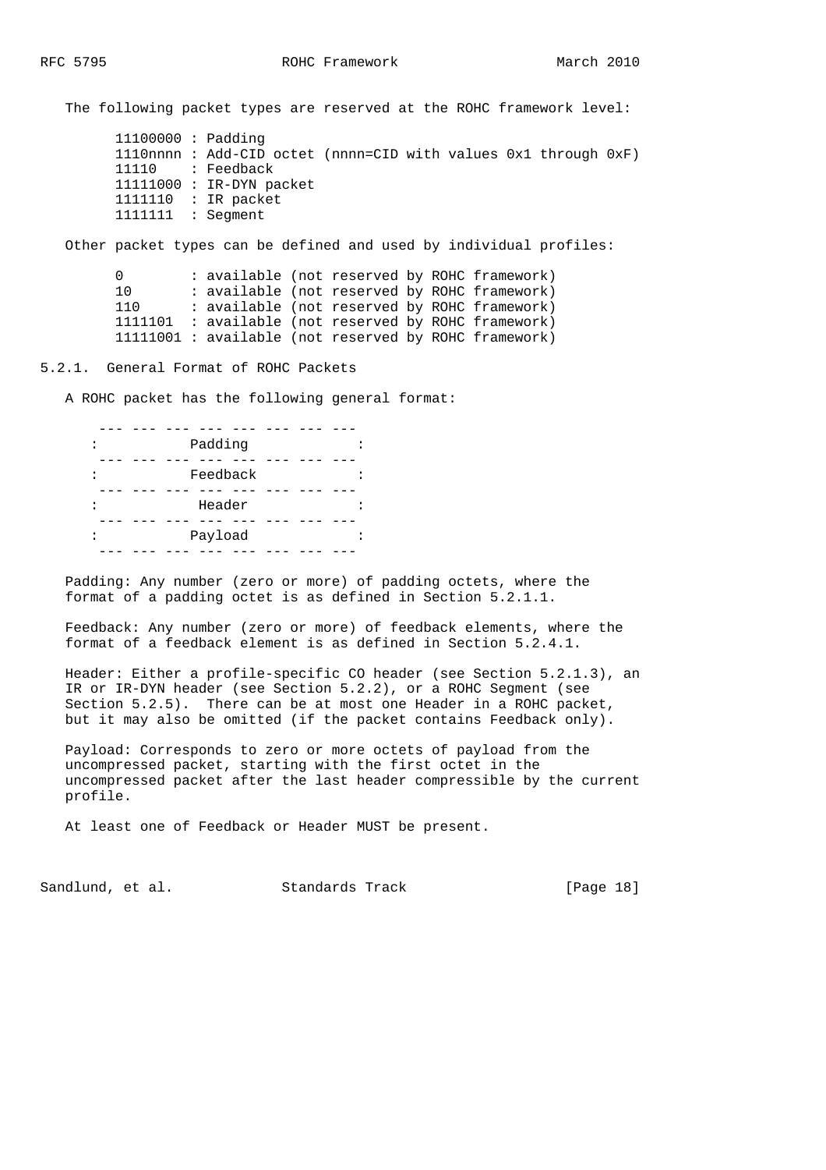The following packet types are reserved at the ROHC framework level:

 11100000 : Padding 1110nnnn : Add-CID octet (nnnn=CID with values 0x1 through 0xF) 11110 : Feedback 11111000 : IR-DYN packet 1111110 : IR packet 1111111 : Segment

Other packet types can be defined and used by individual profiles:

0 : available (not reserved by ROHC framework) 10 : available (not reserved by ROHC framework) 110 : available (not reserved by ROHC framework) 1111101 : available (not reserved by ROHC framework) 11111001 : available (not reserved by ROHC framework)

5.2.1. General Format of ROHC Packets

A ROHC packet has the following general format:

| Padding  |  |
|----------|--|
|          |  |
| Feedback |  |
|          |  |
| Header   |  |
|          |  |
| Payload  |  |
|          |  |

 Padding: Any number (zero or more) of padding octets, where the format of a padding octet is as defined in Section 5.2.1.1.

 Feedback: Any number (zero or more) of feedback elements, where the format of a feedback element is as defined in Section 5.2.4.1.

 Header: Either a profile-specific CO header (see Section 5.2.1.3), an IR or IR-DYN header (see Section 5.2.2), or a ROHC Segment (see Section 5.2.5). There can be at most one Header in a ROHC packet, but it may also be omitted (if the packet contains Feedback only).

 Payload: Corresponds to zero or more octets of payload from the uncompressed packet, starting with the first octet in the uncompressed packet after the last header compressible by the current profile.

At least one of Feedback or Header MUST be present.

Sandlund, et al. Standards Track [Page 18]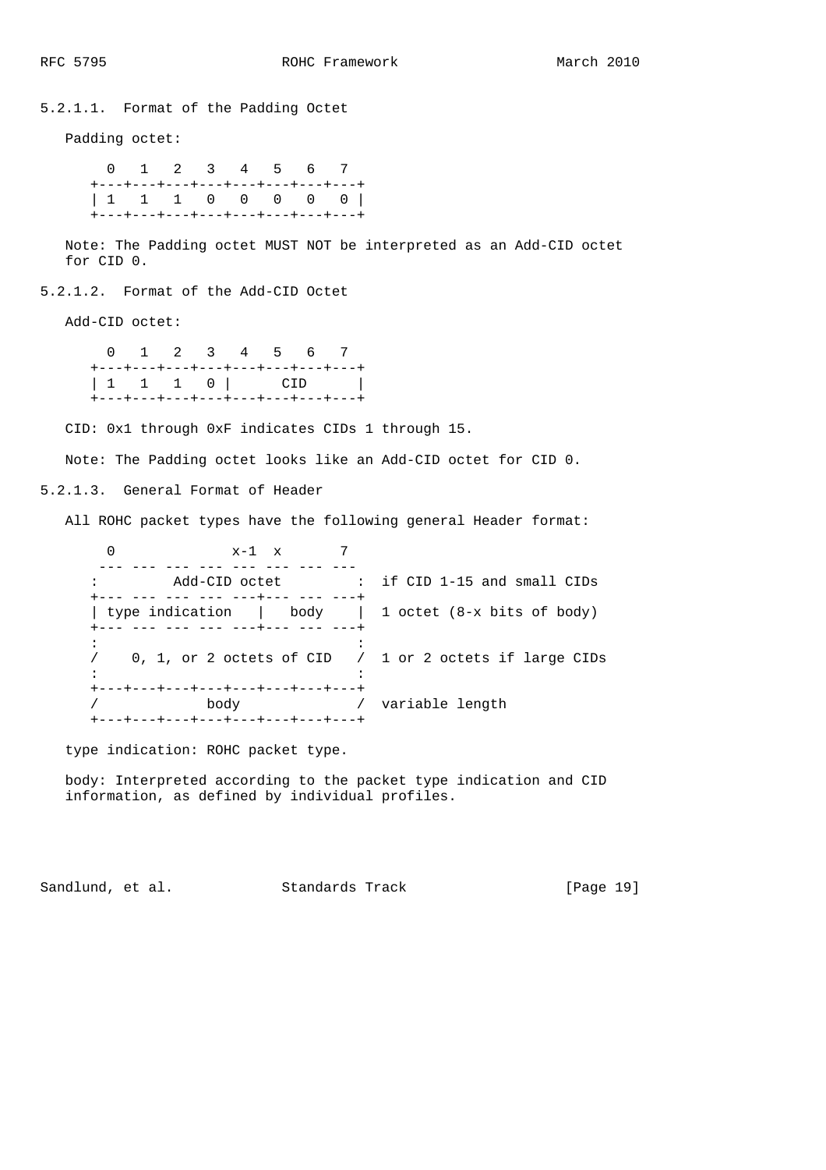5.2.1.1. Format of the Padding Octet

Padding octet:

 0 1 2 3 4 5 6 7 +---+---+---+---+---+---+---+---+ | 1 1 1 0 0 0 0 0 | +---+---+---+---+---+---+---+---+

 Note: The Padding octet MUST NOT be interpreted as an Add-CID octet for CID 0.

5.2.1.2. Format of the Add-CID Octet

Add-CID octet:

 0 1 2 3 4 5 6 7 +---+---+---+---+---+---+---+---+ | 1 1 1 0 | CID | +---+---+---+---+---+---+---+---+

CID: 0x1 through 0xF indicates CIDs 1 through 15.

Note: The Padding octet looks like an Add-CID octet for CID 0.

5.2.1.3. General Format of Header

All ROHC packet types have the following general Header format:

| $x-1$ $x$                                                                |                                                                 |
|--------------------------------------------------------------------------|-----------------------------------------------------------------|
| Add-CID octet                                                            | : if CID 1-15 and small CIDs                                    |
| -- --- --- --- ---+--- --- ---                                           | type indication $\vert$ body $\vert$ 1 octet (8-x bits of body) |
|                                                                          | 0, 1, or 2 octets of CID $/$ 1 or 2 octets if large CIDs        |
| +---+---+---+---+---+---+---+---+<br>body<br>--+---+---+---+---+---+---+ | variable length                                                 |

type indication: ROHC packet type.

 body: Interpreted according to the packet type indication and CID information, as defined by individual profiles.

Sandlund, et al. Standards Track [Page 19]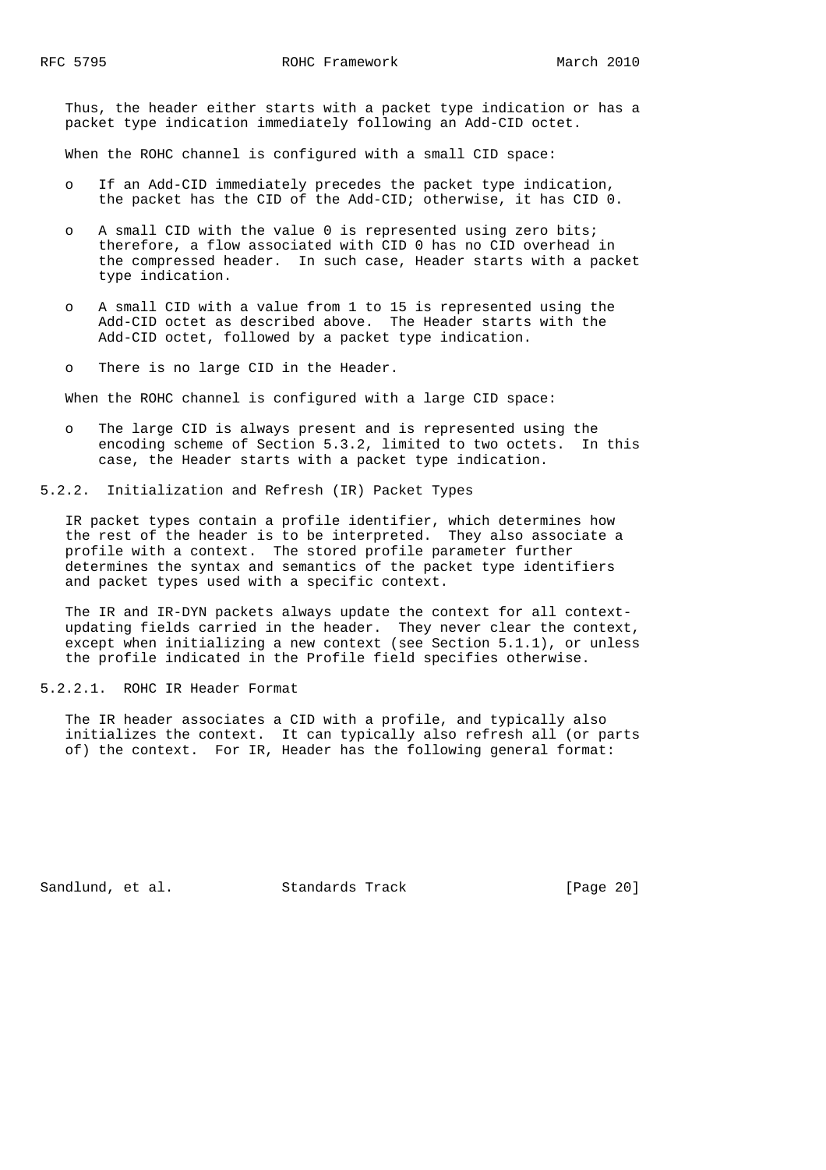Thus, the header either starts with a packet type indication or has a packet type indication immediately following an Add-CID octet.

When the ROHC channel is configured with a small CID space:

- o If an Add-CID immediately precedes the packet type indication, the packet has the CID of the Add-CID; otherwise, it has CID 0.
- o A small CID with the value 0 is represented using zero bits; therefore, a flow associated with CID 0 has no CID overhead in the compressed header. In such case, Header starts with a packet type indication.
- o A small CID with a value from 1 to 15 is represented using the Add-CID octet as described above. The Header starts with the Add-CID octet, followed by a packet type indication.
- o There is no large CID in the Header.

When the ROHC channel is configured with a large CID space:

 o The large CID is always present and is represented using the encoding scheme of Section 5.3.2, limited to two octets. In this case, the Header starts with a packet type indication.

5.2.2. Initialization and Refresh (IR) Packet Types

 IR packet types contain a profile identifier, which determines how the rest of the header is to be interpreted. They also associate a profile with a context. The stored profile parameter further determines the syntax and semantics of the packet type identifiers and packet types used with a specific context.

 The IR and IR-DYN packets always update the context for all context updating fields carried in the header. They never clear the context, except when initializing a new context (see Section 5.1.1), or unless the profile indicated in the Profile field specifies otherwise.

#### 5.2.2.1. ROHC IR Header Format

 The IR header associates a CID with a profile, and typically also initializes the context. It can typically also refresh all (or parts of) the context. For IR, Header has the following general format:

Sandlund, et al. Standards Track [Page 20]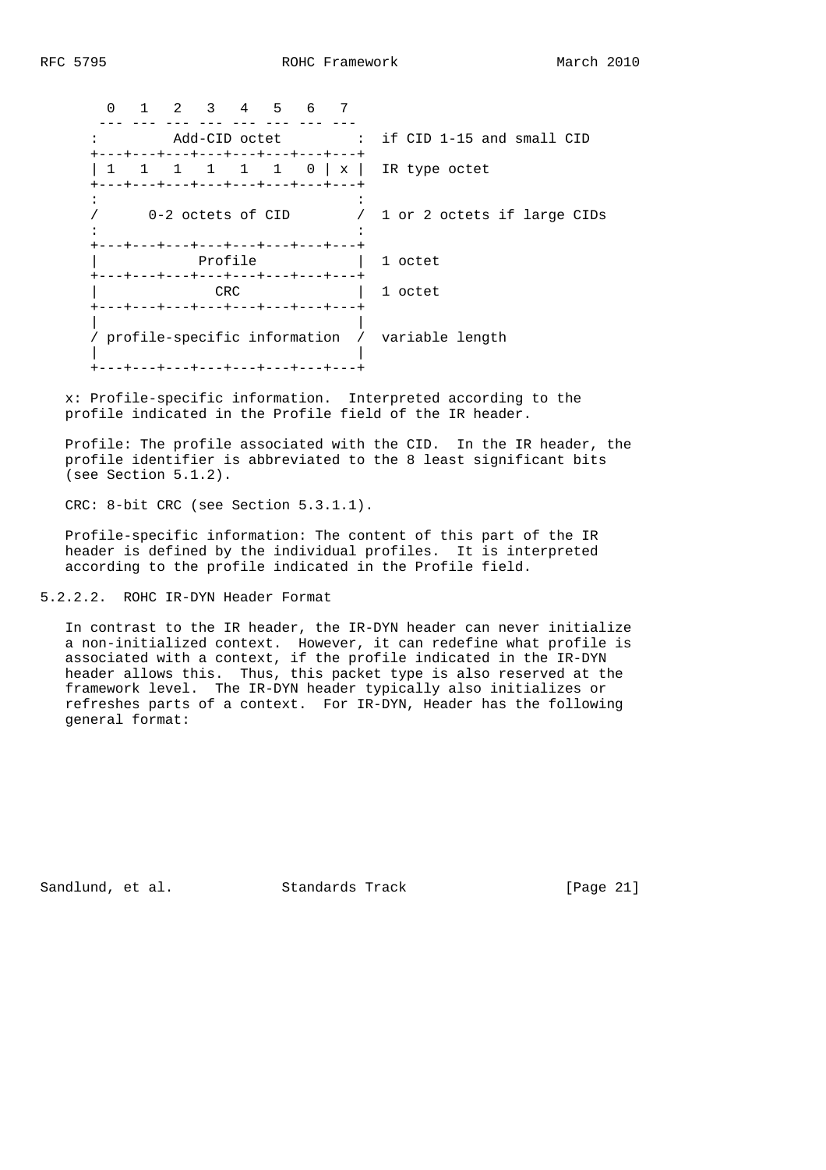0 1 2 3 4 5 6 7 ---- --- --- --- --- --- --- --- --- : Add-CID octet : if CID 1-15 and small CID +---+---+---+---+---+---+---+---+ | 1 1 1 1 1 0 | x | IR type octet +---+---+---+---+---+---+---+---+  $\mathcal{L}^{\mathcal{L}}(\mathcal{L}^{\mathcal{L}}(\mathcal{L}^{\mathcal{L}}(\mathcal{L}^{\mathcal{L}}(\mathcal{L}^{\mathcal{L}}(\mathcal{L}^{\mathcal{L}}(\mathcal{L}^{\mathcal{L}}(\mathcal{L}^{\mathcal{L}}(\mathcal{L}^{\mathcal{L}}(\mathcal{L}^{\mathcal{L}}(\mathcal{L}^{\mathcal{L}}(\mathcal{L}^{\mathcal{L}}(\mathcal{L}^{\mathcal{L}}(\mathcal{L}^{\mathcal{L}}(\mathcal{L}^{\mathcal{L}}(\mathcal{L}^{\mathcal{L}}(\mathcal{L}^{\mathcal{L$  / 0-2 octets of CID / 1 or 2 octets if large CIDs  $\mathcal{L}^{\mathcal{L}}(\mathcal{L}^{\mathcal{L}}(\mathcal{L}^{\mathcal{L}}(\mathcal{L}^{\mathcal{L}}(\mathcal{L}^{\mathcal{L}}(\mathcal{L}^{\mathcal{L}}(\mathcal{L}^{\mathcal{L}}(\mathcal{L}^{\mathcal{L}}(\mathcal{L}^{\mathcal{L}}(\mathcal{L}^{\mathcal{L}}(\mathcal{L}^{\mathcal{L}}(\mathcal{L}^{\mathcal{L}}(\mathcal{L}^{\mathcal{L}}(\mathcal{L}^{\mathcal{L}}(\mathcal{L}^{\mathcal{L}}(\mathcal{L}^{\mathcal{L}}(\mathcal{L}^{\mathcal{L$  +---+---+---+---+---+---+---+---+ Profile  $|$  1 octet +---+---+---+---+---+---+---+---+ | CRC | 1 octet +---+---+---+---+---+---+---+---+ | | / profile-specific information / variable length | |

 x: Profile-specific information. Interpreted according to the profile indicated in the Profile field of the IR header.

 Profile: The profile associated with the CID. In the IR header, the profile identifier is abbreviated to the 8 least significant bits (see Section 5.1.2).

CRC: 8-bit CRC (see Section 5.3.1.1).

.<br>+---+---+---+---+---+---+---+---+

 Profile-specific information: The content of this part of the IR header is defined by the individual profiles. It is interpreted according to the profile indicated in the Profile field.

5.2.2.2. ROHC IR-DYN Header Format

 In contrast to the IR header, the IR-DYN header can never initialize a non-initialized context. However, it can redefine what profile is associated with a context, if the profile indicated in the IR-DYN header allows this. Thus, this packet type is also reserved at the framework level. The IR-DYN header typically also initializes or refreshes parts of a context. For IR-DYN, Header has the following general format:

Sandlund, et al. Standards Track [Page 21]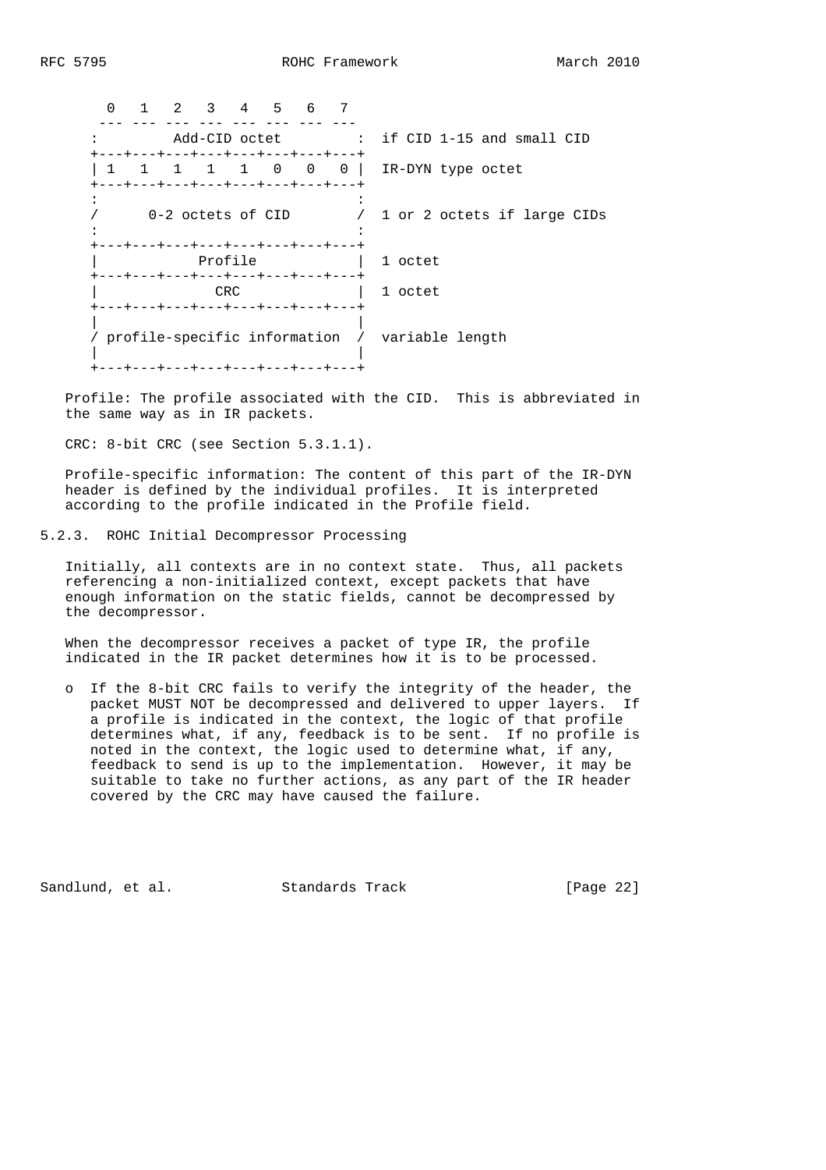| <sup>0</sup> | $\mathcal{L}$ | $\overline{\mathbf{3}}$ | 4 5 | - 6 |                                                                       |                                                |
|--------------|---------------|-------------------------|-----|-----|-----------------------------------------------------------------------|------------------------------------------------|
|              |               |                         |     |     | +---+---+---+---+---+---+---+---+                                     | Add-CID octet : if CID 1-15 and small CID      |
|              |               |                         |     |     | +---+---+---+---+---+---+---+---+                                     | 1 1 1 0 0 0   IR-DYN type octet                |
|              |               | 0-2 octets of CID       |     |     |                                                                       | / 1 or 2 octets if large CIDs                  |
|              |               | Profile                 |     |     | +---+---+---+---+---+---+---+---<br>+---+---+---+---+---+---+---+---+ | 1 octet                                        |
|              |               | CRC.                    |     |     |                                                                       | 1 octet                                        |
|              |               |                         |     |     | +---+---+---+---+---+---+---+---+<br>--+---+---+---+---+---+---+---+  | profile-specific information / variable length |

 Profile: The profile associated with the CID. This is abbreviated in the same way as in IR packets.

CRC: 8-bit CRC (see Section 5.3.1.1).

 Profile-specific information: The content of this part of the IR-DYN header is defined by the individual profiles. It is interpreted according to the profile indicated in the Profile field.

5.2.3. ROHC Initial Decompressor Processing

 Initially, all contexts are in no context state. Thus, all packets referencing a non-initialized context, except packets that have enough information on the static fields, cannot be decompressed by the decompressor.

 When the decompressor receives a packet of type IR, the profile indicated in the IR packet determines how it is to be processed.

 o If the 8-bit CRC fails to verify the integrity of the header, the packet MUST NOT be decompressed and delivered to upper layers. If a profile is indicated in the context, the logic of that profile determines what, if any, feedback is to be sent. If no profile is noted in the context, the logic used to determine what, if any, feedback to send is up to the implementation. However, it may be suitable to take no further actions, as any part of the IR header covered by the CRC may have caused the failure.

Sandlund, et al. Standards Track [Page 22]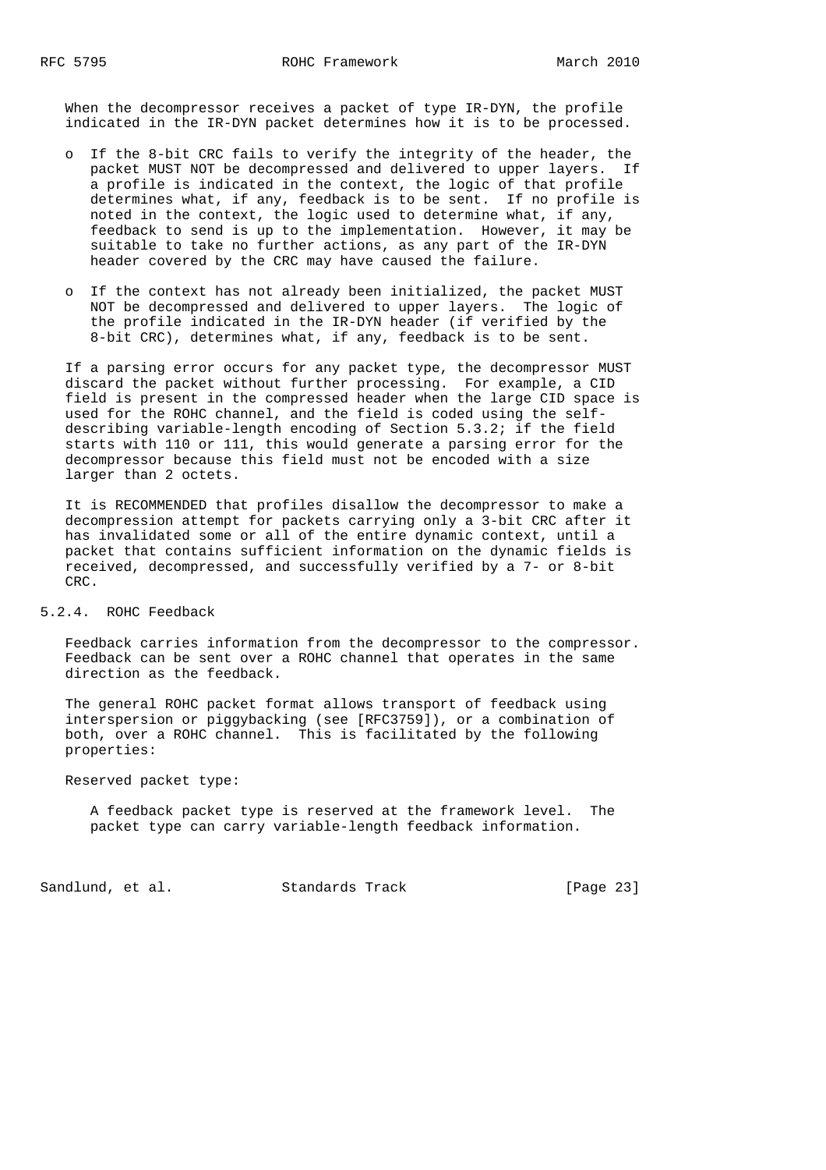When the decompressor receives a packet of type IR-DYN, the profile indicated in the IR-DYN packet determines how it is to be processed.

- o If the 8-bit CRC fails to verify the integrity of the header, the packet MUST NOT be decompressed and delivered to upper layers. If a profile is indicated in the context, the logic of that profile determines what, if any, feedback is to be sent. If no profile is noted in the context, the logic used to determine what, if any, feedback to send is up to the implementation. However, it may be suitable to take no further actions, as any part of the IR-DYN header covered by the CRC may have caused the failure.
- o If the context has not already been initialized, the packet MUST NOT be decompressed and delivered to upper layers. The logic of the profile indicated in the IR-DYN header (if verified by the 8-bit CRC), determines what, if any, feedback is to be sent.

 If a parsing error occurs for any packet type, the decompressor MUST discard the packet without further processing. For example, a CID field is present in the compressed header when the large CID space is used for the ROHC channel, and the field is coded using the self describing variable-length encoding of Section 5.3.2; if the field starts with 110 or 111, this would generate a parsing error for the decompressor because this field must not be encoded with a size larger than 2 octets.

 It is RECOMMENDED that profiles disallow the decompressor to make a decompression attempt for packets carrying only a 3-bit CRC after it has invalidated some or all of the entire dynamic context, until a packet that contains sufficient information on the dynamic fields is received, decompressed, and successfully verified by a 7- or 8-bit CRC.

### 5.2.4. ROHC Feedback

 Feedback carries information from the decompressor to the compressor. Feedback can be sent over a ROHC channel that operates in the same direction as the feedback.

 The general ROHC packet format allows transport of feedback using interspersion or piggybacking (see [RFC3759]), or a combination of both, over a ROHC channel. This is facilitated by the following properties:

Reserved packet type:

 A feedback packet type is reserved at the framework level. The packet type can carry variable-length feedback information.

Sandlund, et al. Standards Track [Page 23]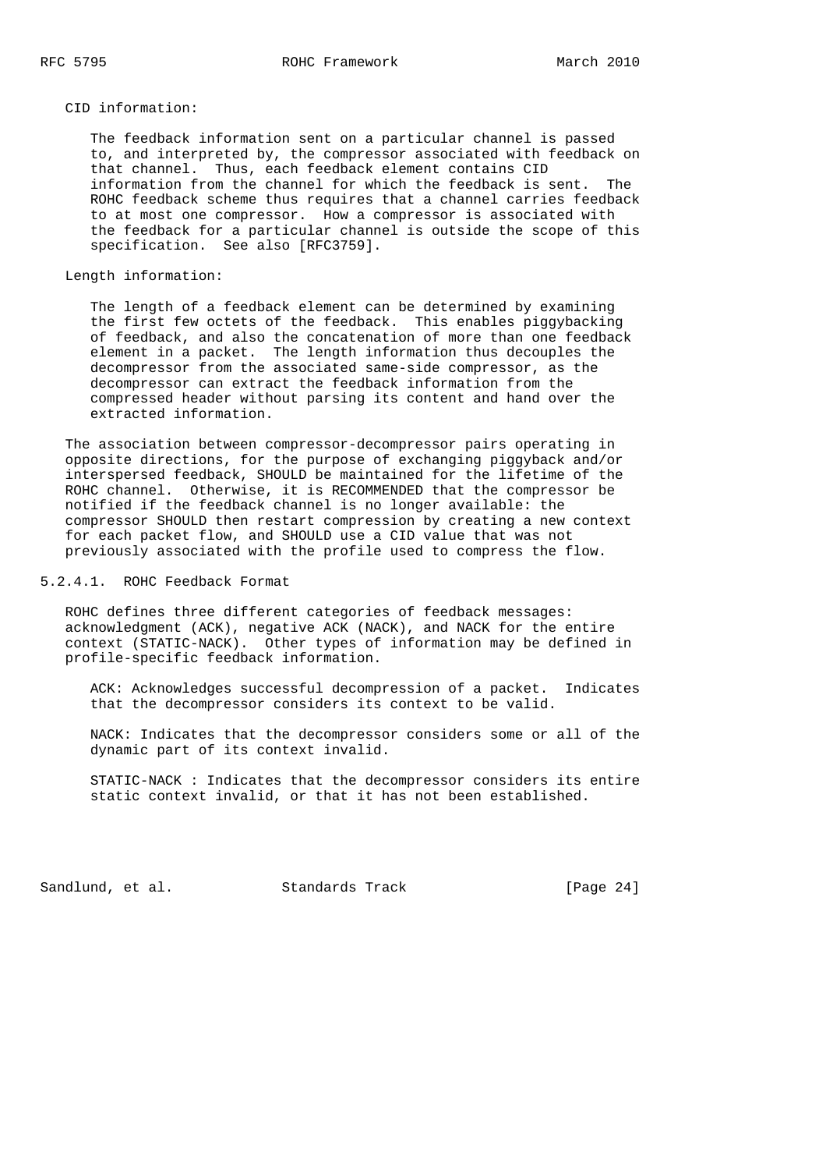CID information:

 The feedback information sent on a particular channel is passed to, and interpreted by, the compressor associated with feedback on that channel. Thus, each feedback element contains CID information from the channel for which the feedback is sent. The ROHC feedback scheme thus requires that a channel carries feedback to at most one compressor. How a compressor is associated with the feedback for a particular channel is outside the scope of this specification. See also [RFC3759].

Length information:

 The length of a feedback element can be determined by examining the first few octets of the feedback. This enables piggybacking of feedback, and also the concatenation of more than one feedback element in a packet. The length information thus decouples the decompressor from the associated same-side compressor, as the decompressor can extract the feedback information from the compressed header without parsing its content and hand over the extracted information.

 The association between compressor-decompressor pairs operating in opposite directions, for the purpose of exchanging piggyback and/or interspersed feedback, SHOULD be maintained for the lifetime of the ROHC channel. Otherwise, it is RECOMMENDED that the compressor be notified if the feedback channel is no longer available: the compressor SHOULD then restart compression by creating a new context for each packet flow, and SHOULD use a CID value that was not previously associated with the profile used to compress the flow.

5.2.4.1. ROHC Feedback Format

 ROHC defines three different categories of feedback messages: acknowledgment (ACK), negative ACK (NACK), and NACK for the entire context (STATIC-NACK). Other types of information may be defined in profile-specific feedback information.

 ACK: Acknowledges successful decompression of a packet. Indicates that the decompressor considers its context to be valid.

 NACK: Indicates that the decompressor considers some or all of the dynamic part of its context invalid.

 STATIC-NACK : Indicates that the decompressor considers its entire static context invalid, or that it has not been established.

Sandlund, et al. Standards Track [Page 24]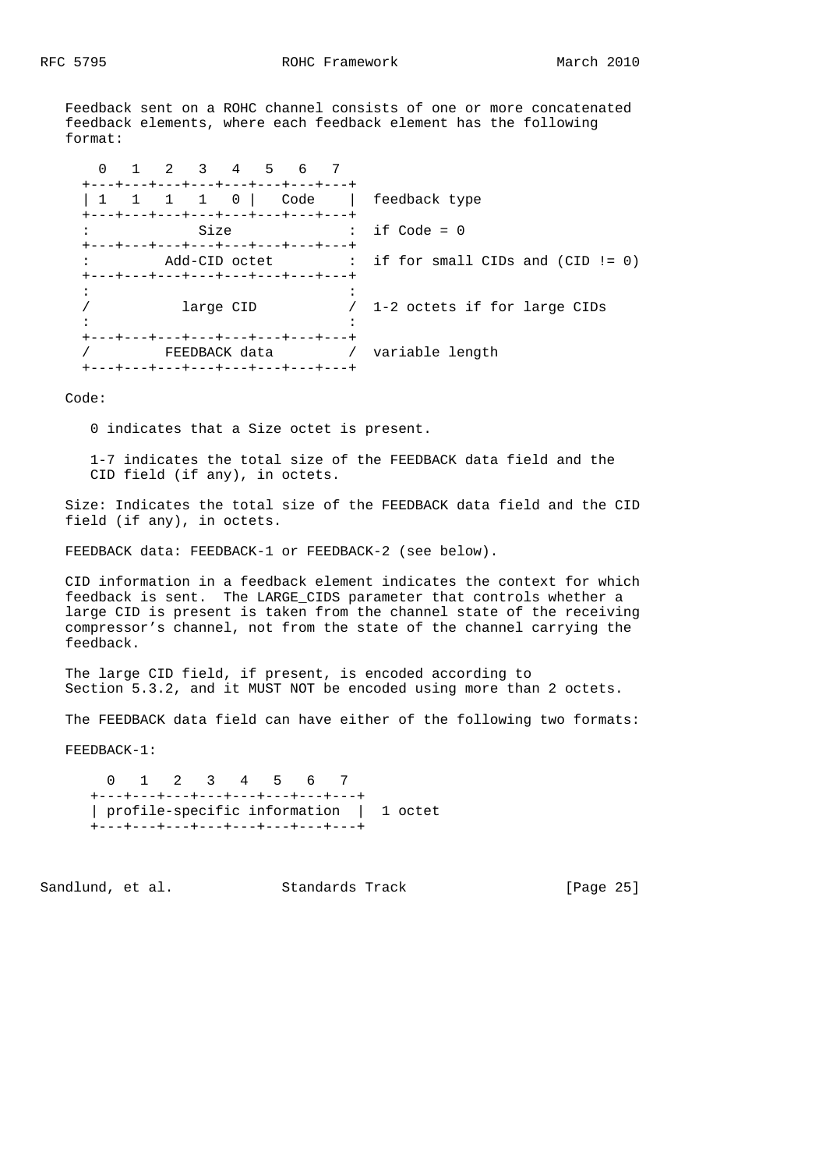Feedback sent on a ROHC channel consists of one or more concatenated feedback elements, where each feedback element has the following format:

| 1 2 3 4 5 6<br>- 7                                                                                             |                                                     |
|----------------------------------------------------------------------------------------------------------------|-----------------------------------------------------|
| +---+---+---+---+---+---+---+---<br>$1 \quad 1 \quad 1 \quad 0$<br>+---+---+---+---+---+---+---+---+           | Code   feedback type                                |
| Size                                                                                                           | $\therefore$ if Code = 0                            |
| +---+---+---+---+---+---+---+---                                                                               | $Add$ -CID octet : if for small CIDs and (CID != 0) |
| +---+---+---+---+---+---+---+---+<br>large CID                                                                 | / 1-2 octets if for large CIDs                      |
| +---+---+---+---+---+---+---+---+<br>FEEDBACK data 1920 - Yariable length<br>+---+---+---+---+---+---+---+---+ |                                                     |

### Code:

0 indicates that a Size octet is present.

 1-7 indicates the total size of the FEEDBACK data field and the CID field (if any), in octets.

 Size: Indicates the total size of the FEEDBACK data field and the CID field (if any), in octets.

FEEDBACK data: FEEDBACK-1 or FEEDBACK-2 (see below).

 CID information in a feedback element indicates the context for which feedback is sent. The LARGE\_CIDS parameter that controls whether a large CID is present is taken from the channel state of the receiving compressor's channel, not from the state of the channel carrying the feedback.

 The large CID field, if present, is encoded according to Section 5.3.2, and it MUST NOT be encoded using more than 2 octets.

The FEEDBACK data field can have either of the following two formats:

FEEDBACK-1:

 0 1 2 3 4 5 6 7 +---+---+---+---+---+---+---+---+ | profile-specific information | 1 octet +---+---+---+---+---+---+---+---+

Sandlund, et al. Standards Track [Page 25]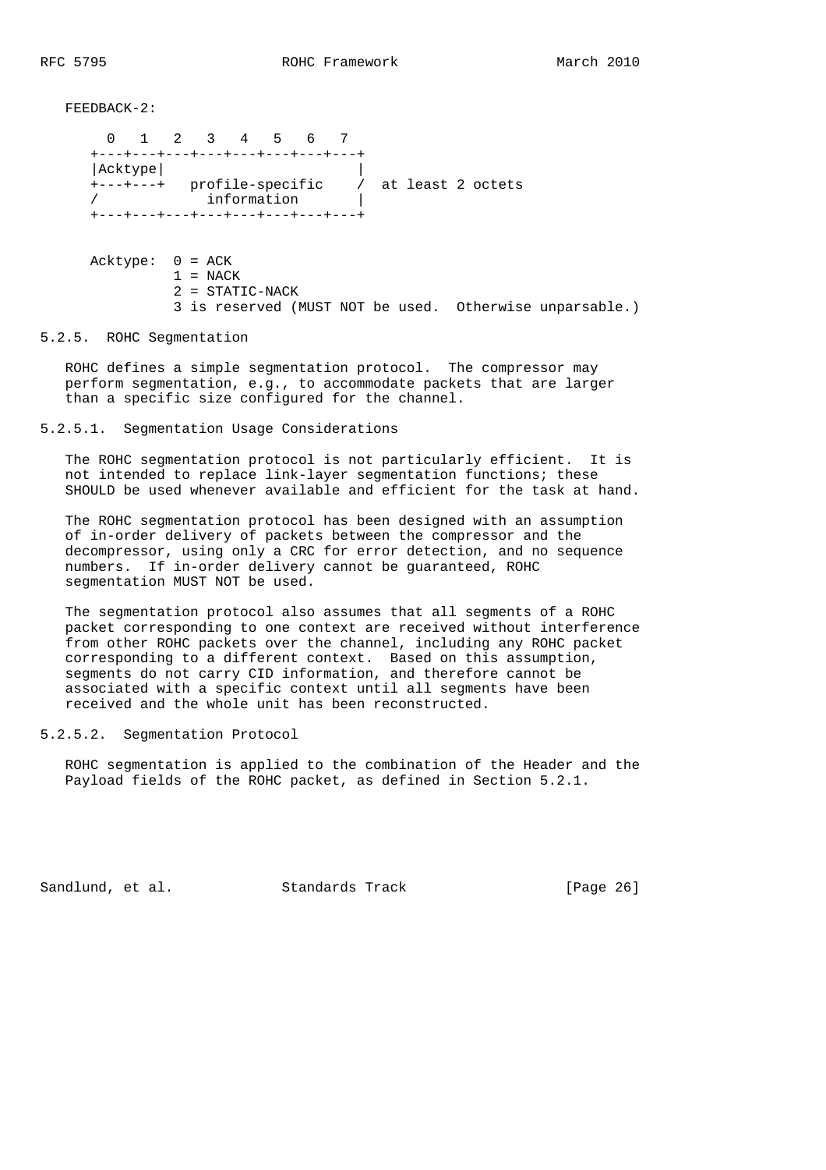FEEDBACK-2:

 0 1 2 3 4 5 6 7 +---+---+---+---+---+---+---+---+ |Acktype| | +---+---+ profile-specific / at least 2 octets / information | +---+---+---+---+---+---+---+---+ Acktype: 0 = ACK  $1 = NACK$ 2 = STATIC-NACK

3 is reserved (MUST NOT be used. Otherwise unparsable.)

5.2.5. ROHC Segmentation

 ROHC defines a simple segmentation protocol. The compressor may perform segmentation, e.g., to accommodate packets that are larger than a specific size configured for the channel.

5.2.5.1. Segmentation Usage Considerations

 The ROHC segmentation protocol is not particularly efficient. It is not intended to replace link-layer segmentation functions; these SHOULD be used whenever available and efficient for the task at hand.

 The ROHC segmentation protocol has been designed with an assumption of in-order delivery of packets between the compressor and the decompressor, using only a CRC for error detection, and no sequence numbers. If in-order delivery cannot be guaranteed, ROHC segmentation MUST NOT be used.

 The segmentation protocol also assumes that all segments of a ROHC packet corresponding to one context are received without interference from other ROHC packets over the channel, including any ROHC packet corresponding to a different context. Based on this assumption, segments do not carry CID information, and therefore cannot be associated with a specific context until all segments have been received and the whole unit has been reconstructed.

### 5.2.5.2. Segmentation Protocol

 ROHC segmentation is applied to the combination of the Header and the Payload fields of the ROHC packet, as defined in Section 5.2.1.

Sandlund, et al. Standards Track [Page 26]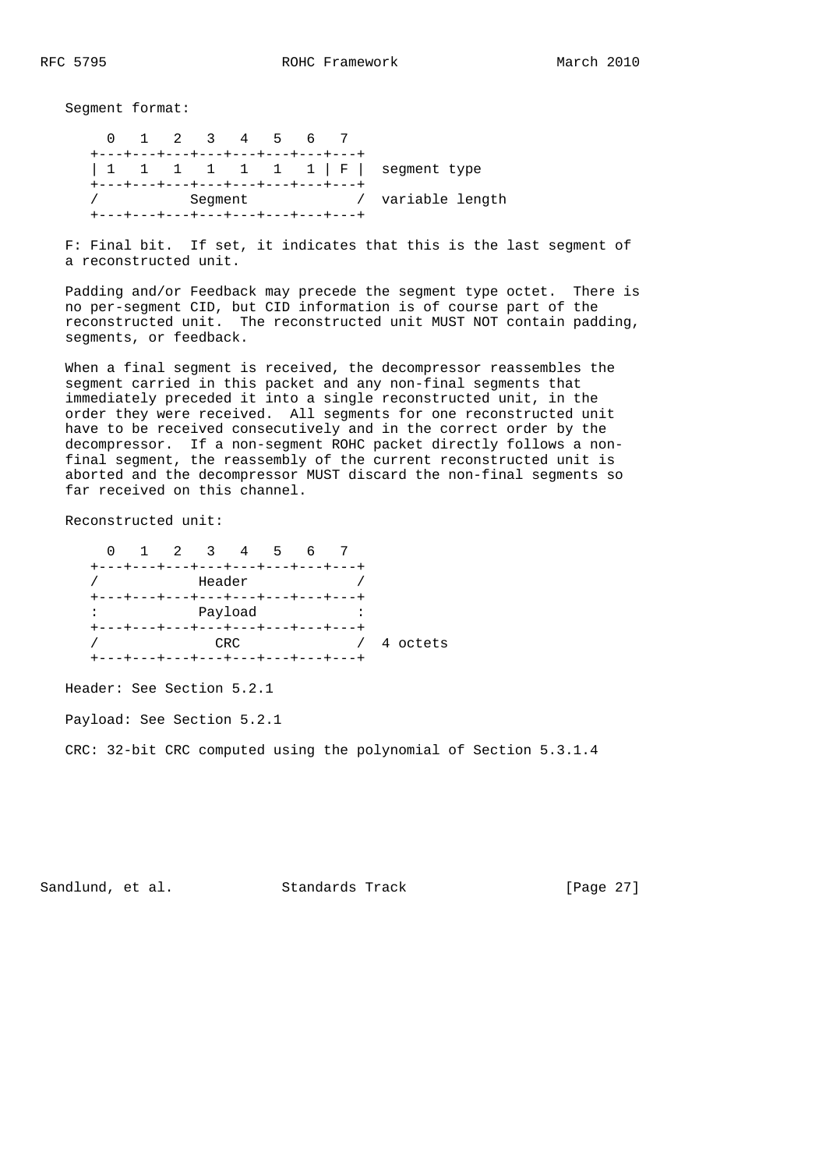Segment format:

 0 1 2 3 4 5 6 7 +---+---+---+---+---+---+---+---+ | 1 1 1 1 1 1 1 | F | segment type +---+---+---+---+---+---+---+---+ / Segment / variable length +---+---+---+---+---+---+---+---+

 F: Final bit. If set, it indicates that this is the last segment of a reconstructed unit.

 Padding and/or Feedback may precede the segment type octet. There is no per-segment CID, but CID information is of course part of the reconstructed unit. The reconstructed unit MUST NOT contain padding, segments, or feedback.

 When a final segment is received, the decompressor reassembles the segment carried in this packet and any non-final segments that immediately preceded it into a single reconstructed unit, in the order they were received. All segments for one reconstructed unit have to be received consecutively and in the correct order by the decompressor. If a non-segment ROHC packet directly follows a non final segment, the reassembly of the current reconstructed unit is aborted and the decompressor MUST discard the non-final segments so far received on this channel.

Reconstructed unit:

 0 1 2 3 4 5 6 7 +---+---+---+---+---+---+---+---+ / Header / +---+---+---+---+---+---+---+---+ : Payload : +---+---+---+---+---+---+---+---+ / CRC / 4 octets +---+---+---+---+---+---+---+---+

Header: See Section 5.2.1

Payload: See Section 5.2.1

CRC: 32-bit CRC computed using the polynomial of Section 5.3.1.4

Sandlund, et al. Standards Track [Page 27]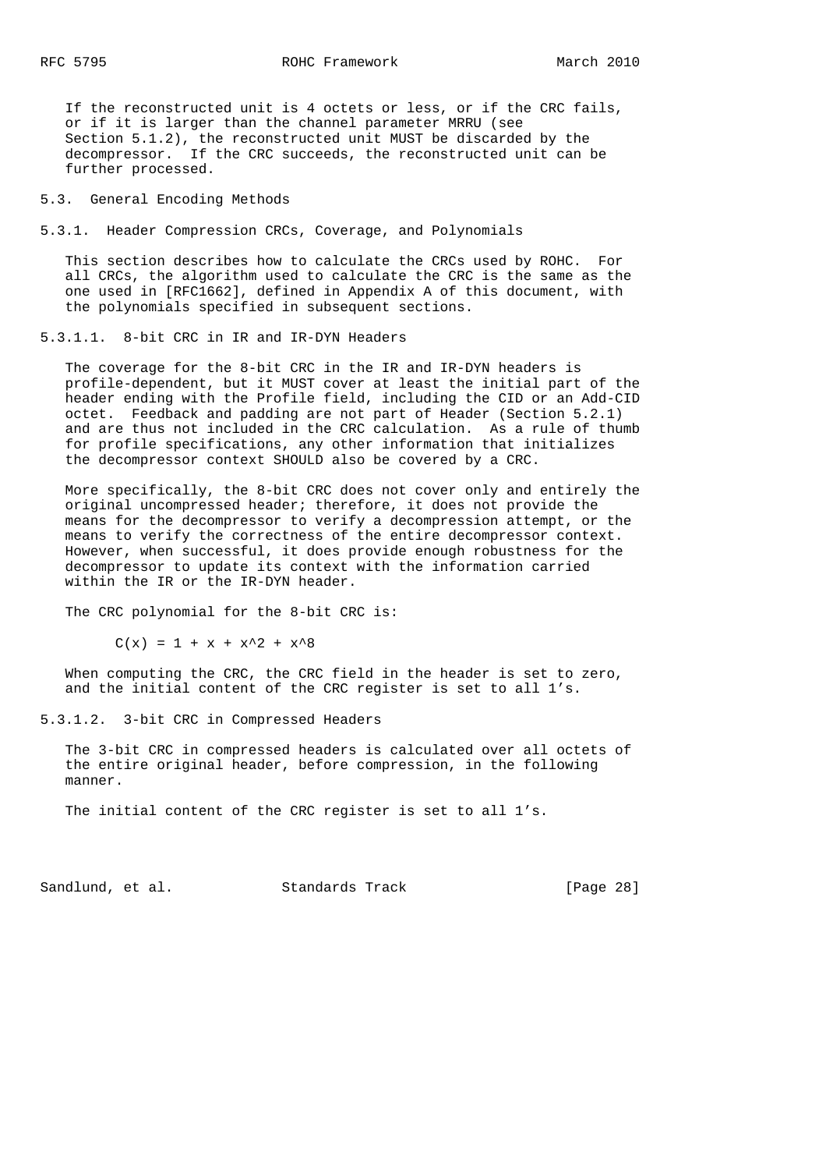If the reconstructed unit is 4 octets or less, or if the CRC fails, or if it is larger than the channel parameter MRRU (see Section 5.1.2), the reconstructed unit MUST be discarded by the decompressor. If the CRC succeeds, the reconstructed unit can be further processed.

5.3. General Encoding Methods

5.3.1. Header Compression CRCs, Coverage, and Polynomials

 This section describes how to calculate the CRCs used by ROHC. For all CRCs, the algorithm used to calculate the CRC is the same as the one used in [RFC1662], defined in Appendix A of this document, with the polynomials specified in subsequent sections.

5.3.1.1. 8-bit CRC in IR and IR-DYN Headers

 The coverage for the 8-bit CRC in the IR and IR-DYN headers is profile-dependent, but it MUST cover at least the initial part of the header ending with the Profile field, including the CID or an Add-CID octet. Feedback and padding are not part of Header (Section 5.2.1) and are thus not included in the CRC calculation. As a rule of thumb for profile specifications, any other information that initializes the decompressor context SHOULD also be covered by a CRC.

 More specifically, the 8-bit CRC does not cover only and entirely the original uncompressed header; therefore, it does not provide the means for the decompressor to verify a decompression attempt, or the means to verify the correctness of the entire decompressor context. However, when successful, it does provide enough robustness for the decompressor to update its context with the information carried within the IR or the IR-DYN header.

The CRC polynomial for the 8-bit CRC is:

 $C(x) = 1 + x + x^2 + x^8$ 

 When computing the CRC, the CRC field in the header is set to zero, and the initial content of the CRC register is set to all 1's.

5.3.1.2. 3-bit CRC in Compressed Headers

 The 3-bit CRC in compressed headers is calculated over all octets of the entire original header, before compression, in the following manner.

The initial content of the CRC register is set to all 1's.

Sandlund, et al. Standards Track [Page 28]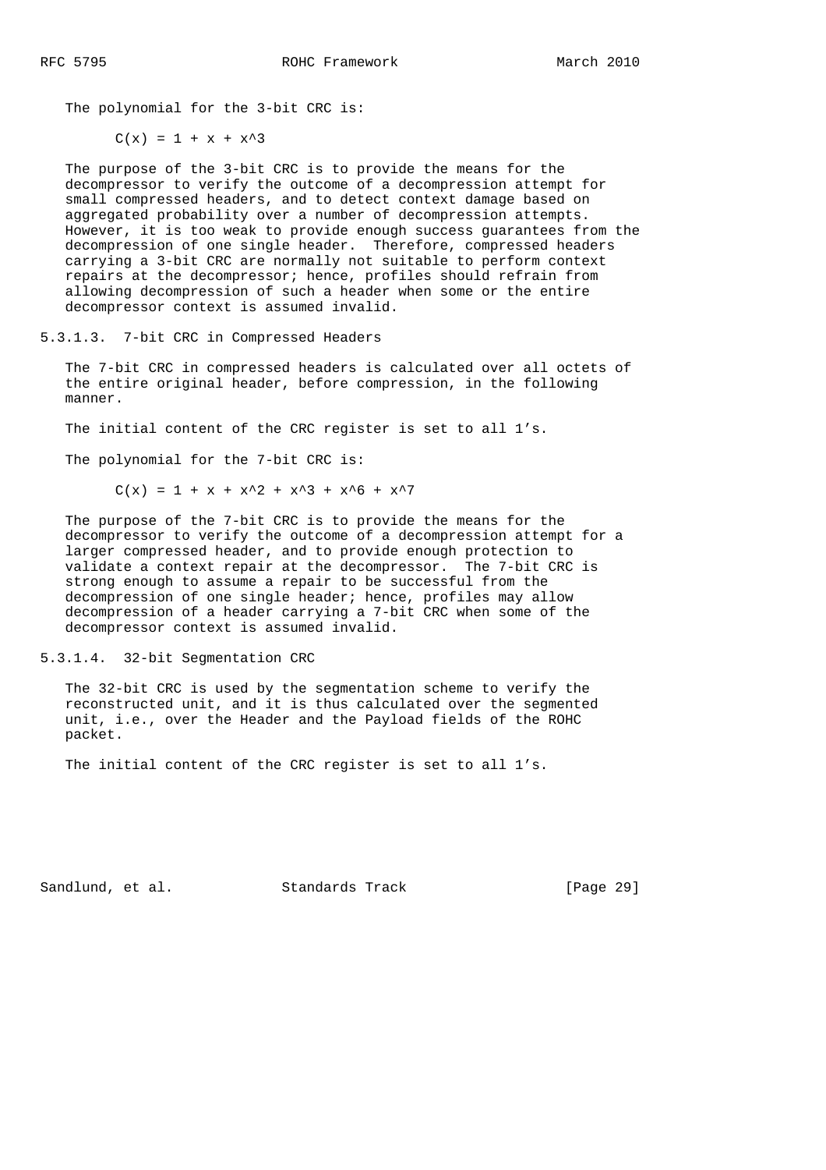The polynomial for the 3-bit CRC is:

 $C(x) = 1 + x + x^3$ 

 The purpose of the 3-bit CRC is to provide the means for the decompressor to verify the outcome of a decompression attempt for small compressed headers, and to detect context damage based on aggregated probability over a number of decompression attempts. However, it is too weak to provide enough success guarantees from the decompression of one single header. Therefore, compressed headers carrying a 3-bit CRC are normally not suitable to perform context repairs at the decompressor; hence, profiles should refrain from allowing decompression of such a header when some or the entire decompressor context is assumed invalid.

5.3.1.3. 7-bit CRC in Compressed Headers

 The 7-bit CRC in compressed headers is calculated over all octets of the entire original header, before compression, in the following manner.

The initial content of the CRC register is set to all 1's.

The polynomial for the 7-bit CRC is:

 $C(x) = 1 + x + x^2 + x^3 + x^6 + x^7$ 

 The purpose of the 7-bit CRC is to provide the means for the decompressor to verify the outcome of a decompression attempt for a larger compressed header, and to provide enough protection to validate a context repair at the decompressor. The 7-bit CRC is strong enough to assume a repair to be successful from the decompression of one single header; hence, profiles may allow decompression of a header carrying a 7-bit CRC when some of the decompressor context is assumed invalid.

5.3.1.4. 32-bit Segmentation CRC

 The 32-bit CRC is used by the segmentation scheme to verify the reconstructed unit, and it is thus calculated over the segmented unit, i.e., over the Header and the Payload fields of the ROHC packet.

The initial content of the CRC register is set to all 1's.

Sandlund, et al. Standards Track [Page 29]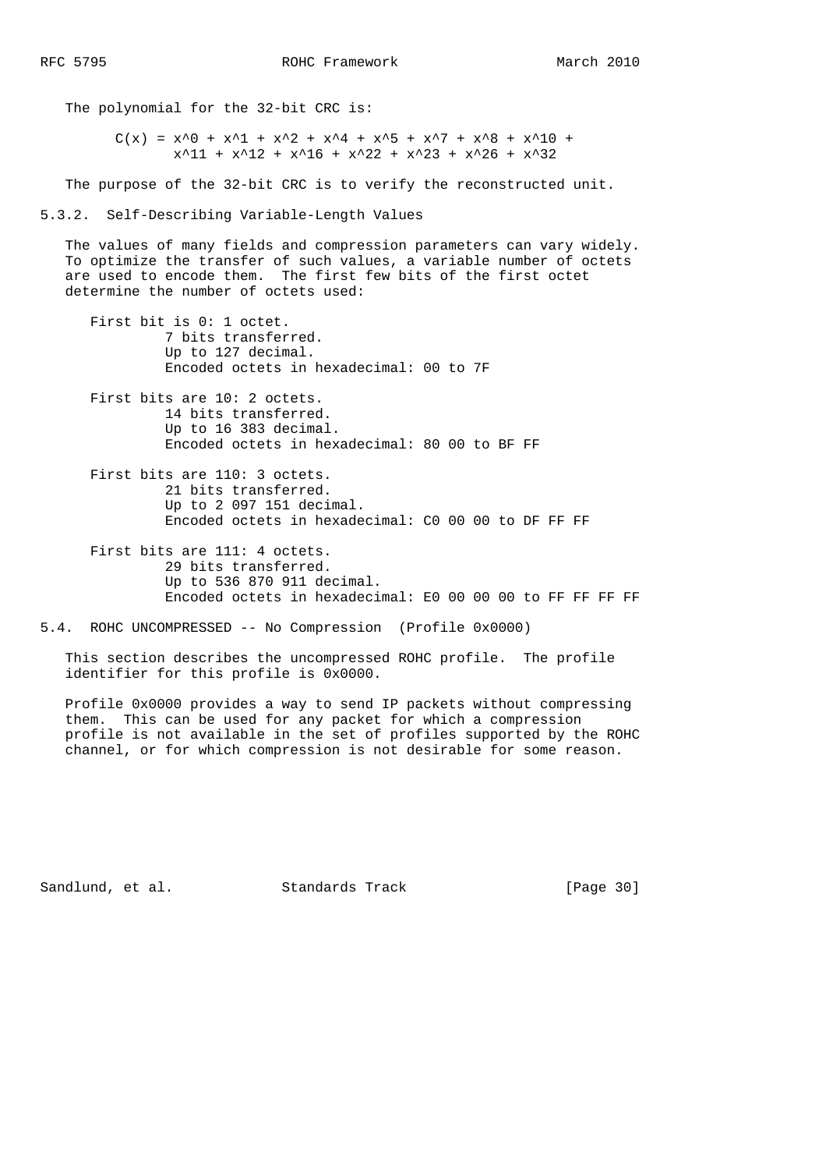The polynomial for the 32-bit CRC is:

 $C(x) = x^0 + x^1 + x^2 + x^2 + x^4 + x^5 + x^7 + x^8 + x^10 +$  $x^211 + x^212 + x^216 + x^22 + x^23 + x^246 + x^332$ 

The purpose of the 32-bit CRC is to verify the reconstructed unit.

### 5.3.2. Self-Describing Variable-Length Values

 The values of many fields and compression parameters can vary widely. To optimize the transfer of such values, a variable number of octets are used to encode them. The first few bits of the first octet determine the number of octets used:

 First bit is 0: 1 octet. 7 bits transferred. Up to 127 decimal. Encoded octets in hexadecimal: 00 to 7F

 First bits are 10: 2 octets. 14 bits transferred. Up to 16 383 decimal. Encoded octets in hexadecimal: 80 00 to BF FF

- First bits are 110: 3 octets. 21 bits transferred. Up to 2 097 151 decimal. Encoded octets in hexadecimal: C0 00 00 to DF FF FF
- First bits are 111: 4 octets. 29 bits transferred. Up to 536 870 911 decimal. Encoded octets in hexadecimal: E0 00 00 00 to FF FF FF FF
- 5.4. ROHC UNCOMPRESSED -- No Compression (Profile 0x0000)

 This section describes the uncompressed ROHC profile. The profile identifier for this profile is 0x0000.

 Profile 0x0000 provides a way to send IP packets without compressing them. This can be used for any packet for which a compression profile is not available in the set of profiles supported by the ROHC channel, or for which compression is not desirable for some reason.

Sandlund, et al. Standards Track [Page 30]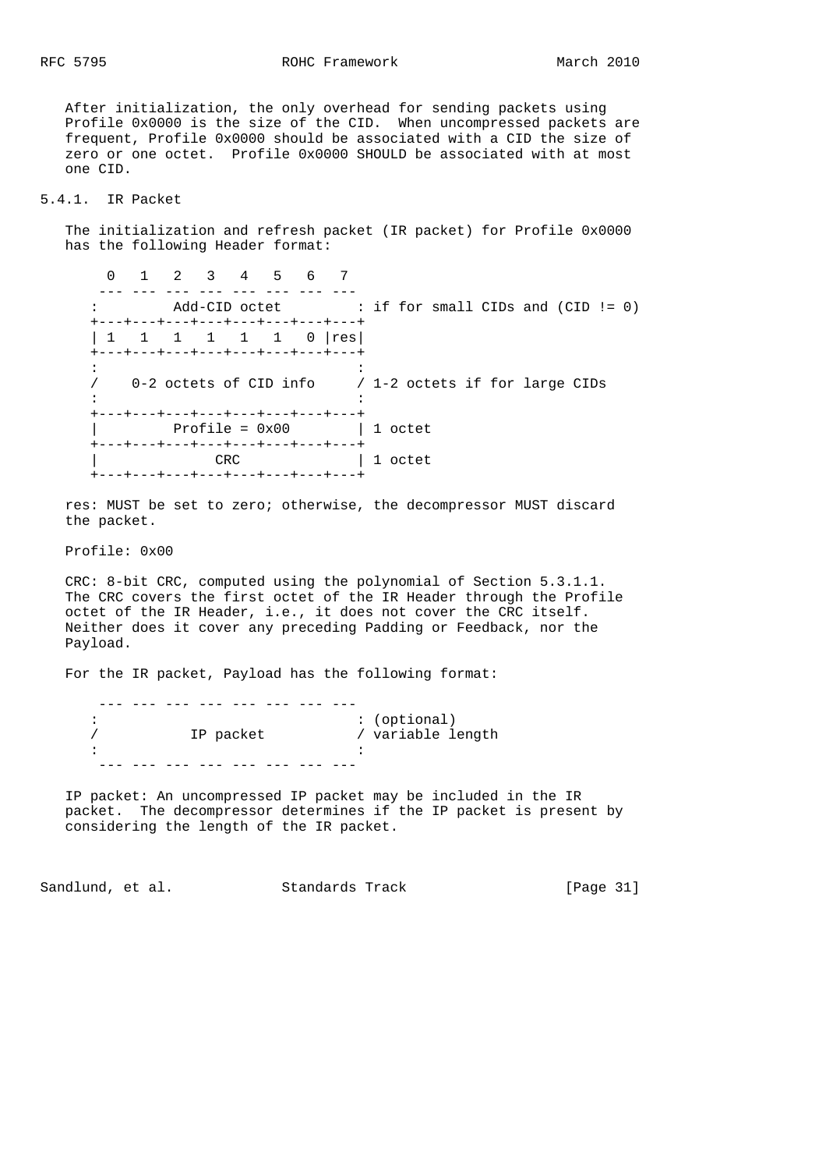RFC 5795 ROHC Framework March 2010

 After initialization, the only overhead for sending packets using Profile 0x0000 is the size of the CID. When uncompressed packets are frequent, Profile 0x0000 should be associated with a CID the size of zero or one octet. Profile 0x0000 SHOULD be associated with at most one CID.

# 5.4.1. IR Packet

 The initialization and refresh packet (IR packet) for Profile 0x0000 has the following Header format:

 0 1 2 3 4 5 6 7 ---- --- --- --- --- --- --- --- --- : Add-CID octet : if for small CIDs and (CID != 0) +---+---+---+---+---+---+---+---+ | 1 1 1 1 1 1 0 | res| +---+---+---+---+---+---+---+---+  $\mathcal{L}^{\mathcal{L}}(\mathcal{L}^{\mathcal{L}}(\mathcal{L}^{\mathcal{L}}(\mathcal{L}^{\mathcal{L}}(\mathcal{L}^{\mathcal{L}}(\mathcal{L}^{\mathcal{L}}(\mathcal{L}^{\mathcal{L}}(\mathcal{L}^{\mathcal{L}}(\mathcal{L}^{\mathcal{L}}(\mathcal{L}^{\mathcal{L}}(\mathcal{L}^{\mathcal{L}}(\mathcal{L}^{\mathcal{L}}(\mathcal{L}^{\mathcal{L}}(\mathcal{L}^{\mathcal{L}}(\mathcal{L}^{\mathcal{L}}(\mathcal{L}^{\mathcal{L}}(\mathcal{L}^{\mathcal{L$  / 0-2 octets of CID info / 1-2 octets if for large CIDs the state of the state of the state of the state of the state of the state of +---+---+---+---+---+---+---+---+ | Profile = 0x00 | 1 octet +---+---+---+---+---+---+---+---+ | CRC | 1 octet +---+---+---+---+---+---+---+---+

 res: MUST be set to zero; otherwise, the decompressor MUST discard the packet.

Profile: 0x00

 CRC: 8-bit CRC, computed using the polynomial of Section 5.3.1.1. The CRC covers the first octet of the IR Header through the Profile octet of the IR Header, i.e., it does not cover the CRC itself. Neither does it cover any preceding Padding or Feedback, nor the Payload.

For the IR packet, Payload has the following format:

|           | : (optional)    |
|-----------|-----------------|
| IP packet | variable length |
|           |                 |
|           |                 |

 IP packet: An uncompressed IP packet may be included in the IR packet. The decompressor determines if the IP packet is present by considering the length of the IR packet.

Sandlund, et al. Standards Track [Page 31]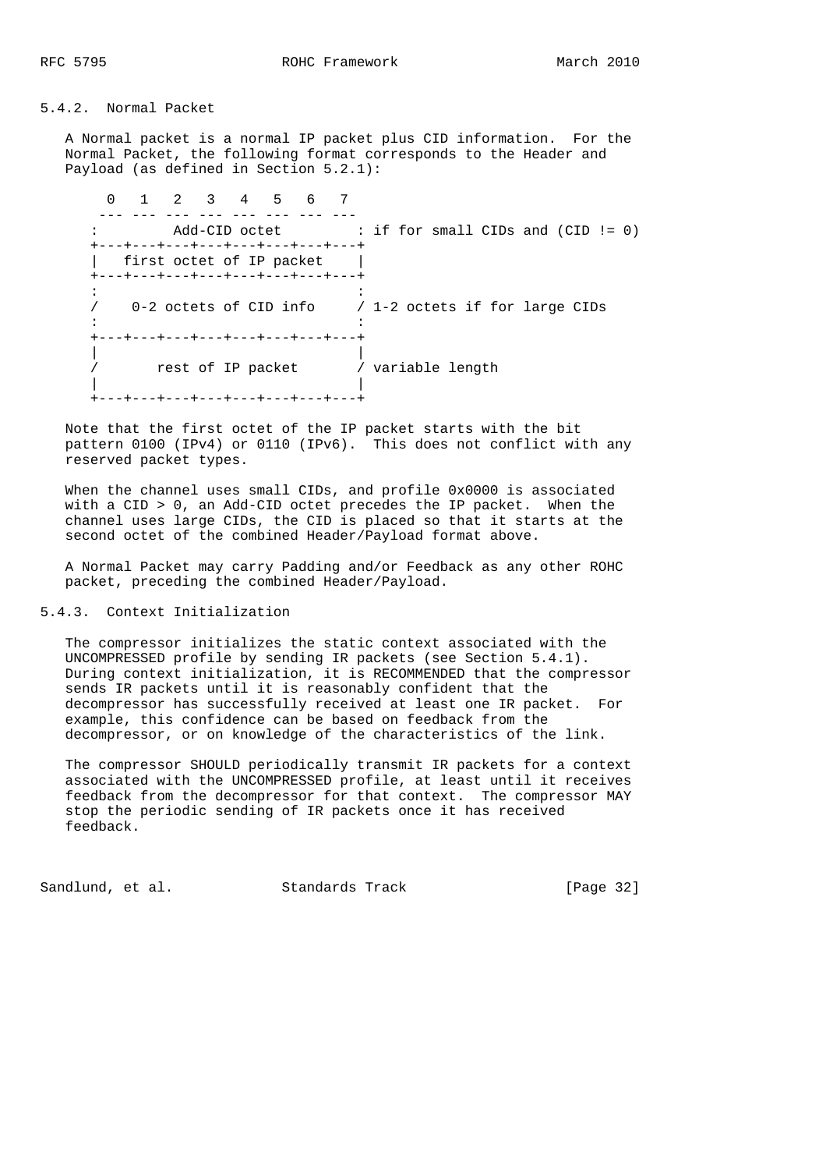### 5.4.2. Normal Packet

 A Normal packet is a normal IP packet plus CID information. For the Normal Packet, the following format corresponds to the Header and Payload (as defined in Section 5.2.1):

 0 1 2 3 4 5 6 7 ---- --- --- --- --- --- --- --- --- : Add-CID octet : if for small CIDs and (CID != 0) +---+---+---+---+---+---+---+---+ | first octet of IP packet +---+---+---+---+---+---+---+---+  $\mathcal{L}^{\mathcal{L}}(\mathcal{L}^{\mathcal{L}}(\mathcal{L}^{\mathcal{L}}(\mathcal{L}^{\mathcal{L}}(\mathcal{L}^{\mathcal{L}}(\mathcal{L}^{\mathcal{L}}(\mathcal{L}^{\mathcal{L}}(\mathcal{L}^{\mathcal{L}}(\mathcal{L}^{\mathcal{L}}(\mathcal{L}^{\mathcal{L}}(\mathcal{L}^{\mathcal{L}}(\mathcal{L}^{\mathcal{L}}(\mathcal{L}^{\mathcal{L}}(\mathcal{L}^{\mathcal{L}}(\mathcal{L}^{\mathcal{L}}(\mathcal{L}^{\mathcal{L}}(\mathcal{L}^{\mathcal{L$  / 0-2 octets of CID info / 1-2 octets if for large CIDs  $\mathcal{L}^{\mathcal{L}}(\mathcal{L}^{\mathcal{L}}(\mathcal{L}^{\mathcal{L}}(\mathcal{L}^{\mathcal{L}}(\mathcal{L}^{\mathcal{L}}(\mathcal{L}^{\mathcal{L}}(\mathcal{L}^{\mathcal{L}}(\mathcal{L}^{\mathcal{L}}(\mathcal{L}^{\mathcal{L}}(\mathcal{L}^{\mathcal{L}}(\mathcal{L}^{\mathcal{L}}(\mathcal{L}^{\mathcal{L}}(\mathcal{L}^{\mathcal{L}}(\mathcal{L}^{\mathcal{L}}(\mathcal{L}^{\mathcal{L}}(\mathcal{L}^{\mathcal{L}}(\mathcal{L}^{\mathcal{L$  +---+---+---+---+---+---+---+---+ | | / rest of IP packet / variable length | | +---+---+---+---+---+---+---+---+

 Note that the first octet of the IP packet starts with the bit pattern 0100 (IPv4) or 0110 (IPv6). This does not conflict with any reserved packet types.

 When the channel uses small CIDs, and profile 0x0000 is associated with a CID > 0, an Add-CID octet precedes the IP packet. When the channel uses large CIDs, the CID is placed so that it starts at the second octet of the combined Header/Payload format above.

 A Normal Packet may carry Padding and/or Feedback as any other ROHC packet, preceding the combined Header/Payload.

## 5.4.3. Context Initialization

 The compressor initializes the static context associated with the UNCOMPRESSED profile by sending IR packets (see Section 5.4.1). During context initialization, it is RECOMMENDED that the compressor sends IR packets until it is reasonably confident that the decompressor has successfully received at least one IR packet. For example, this confidence can be based on feedback from the decompressor, or on knowledge of the characteristics of the link.

 The compressor SHOULD periodically transmit IR packets for a context associated with the UNCOMPRESSED profile, at least until it receives feedback from the decompressor for that context. The compressor MAY stop the periodic sending of IR packets once it has received feedback.

Sandlund, et al. Standards Track [Page 32]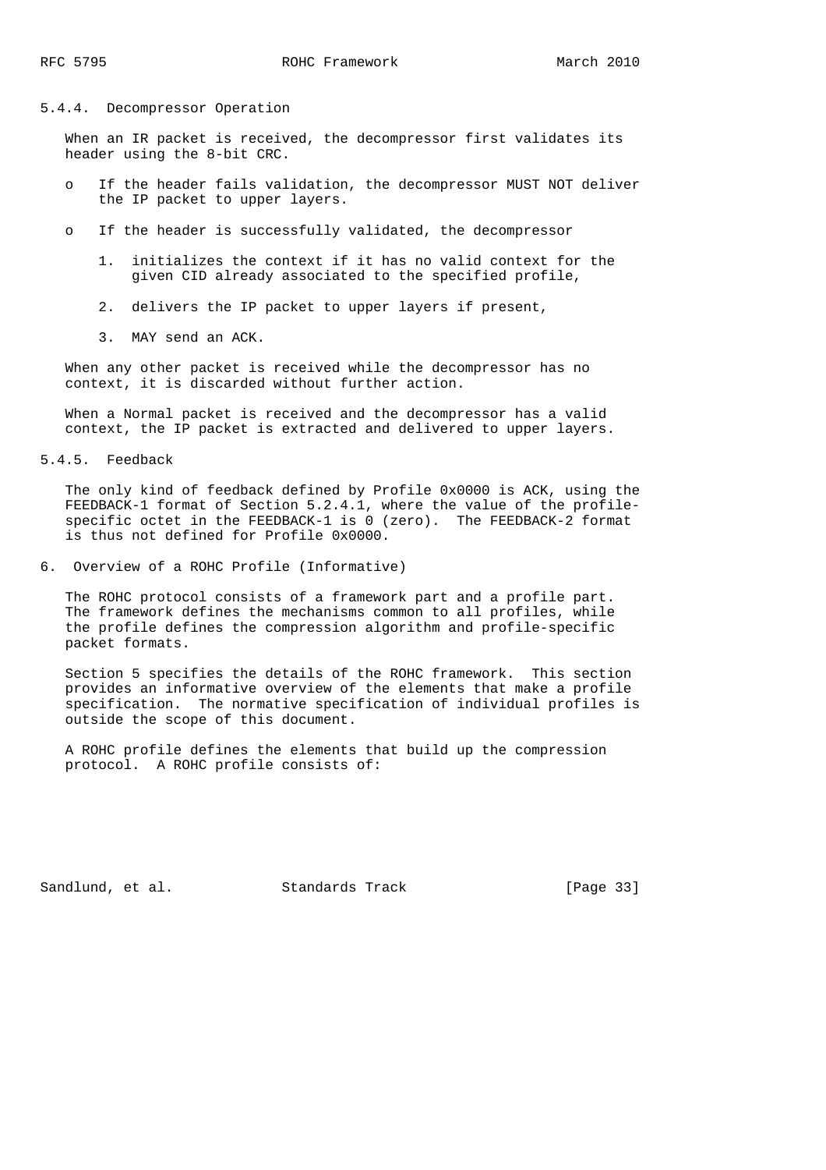# 5.4.4. Decompressor Operation

 When an IR packet is received, the decompressor first validates its header using the 8-bit CRC.

- o If the header fails validation, the decompressor MUST NOT deliver the IP packet to upper layers.
- o If the header is successfully validated, the decompressor
	- 1. initializes the context if it has no valid context for the given CID already associated to the specified profile,
	- 2. delivers the IP packet to upper layers if present,
	- 3. MAY send an ACK.

 When any other packet is received while the decompressor has no context, it is discarded without further action.

 When a Normal packet is received and the decompressor has a valid context, the IP packet is extracted and delivered to upper layers.

5.4.5. Feedback

 The only kind of feedback defined by Profile 0x0000 is ACK, using the FEEDBACK-1 format of Section 5.2.4.1, where the value of the profile specific octet in the FEEDBACK-1 is 0 (zero). The FEEDBACK-2 format is thus not defined for Profile 0x0000.

6. Overview of a ROHC Profile (Informative)

 The ROHC protocol consists of a framework part and a profile part. The framework defines the mechanisms common to all profiles, while the profile defines the compression algorithm and profile-specific packet formats.

 Section 5 specifies the details of the ROHC framework. This section provides an informative overview of the elements that make a profile specification. The normative specification of individual profiles is outside the scope of this document.

 A ROHC profile defines the elements that build up the compression protocol. A ROHC profile consists of:

Sandlund, et al. Standards Track [Page 33]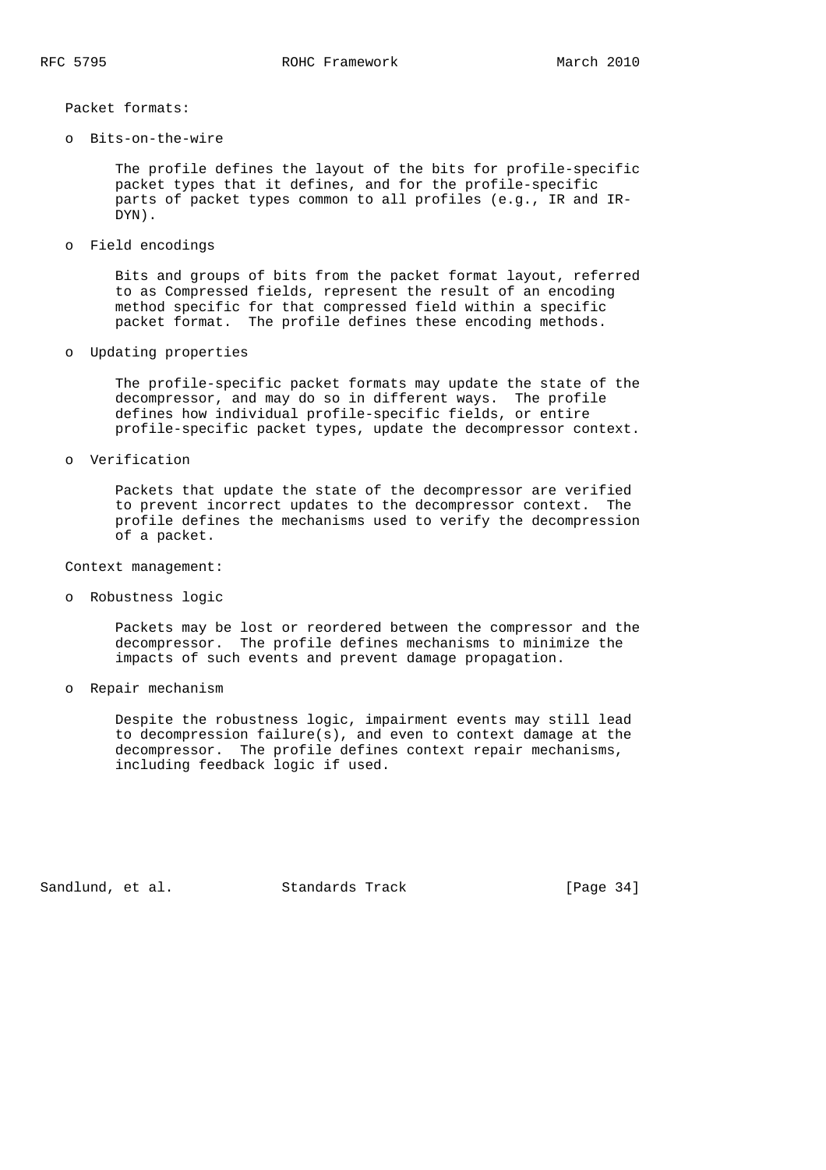Packet formats:

o Bits-on-the-wire

 The profile defines the layout of the bits for profile-specific packet types that it defines, and for the profile-specific parts of packet types common to all profiles (e.g., IR and IR- DYN).

o Field encodings

 Bits and groups of bits from the packet format layout, referred to as Compressed fields, represent the result of an encoding method specific for that compressed field within a specific packet format. The profile defines these encoding methods.

o Updating properties

 The profile-specific packet formats may update the state of the decompressor, and may do so in different ways. The profile defines how individual profile-specific fields, or entire profile-specific packet types, update the decompressor context.

o Verification

 Packets that update the state of the decompressor are verified to prevent incorrect updates to the decompressor context. The profile defines the mechanisms used to verify the decompression of a packet.

Context management:

o Robustness logic

 Packets may be lost or reordered between the compressor and the decompressor. The profile defines mechanisms to minimize the impacts of such events and prevent damage propagation.

o Repair mechanism

 Despite the robustness logic, impairment events may still lead to decompression failure(s), and even to context damage at the decompressor. The profile defines context repair mechanisms, including feedback logic if used.

Sandlund, et al. Standards Track [Page 34]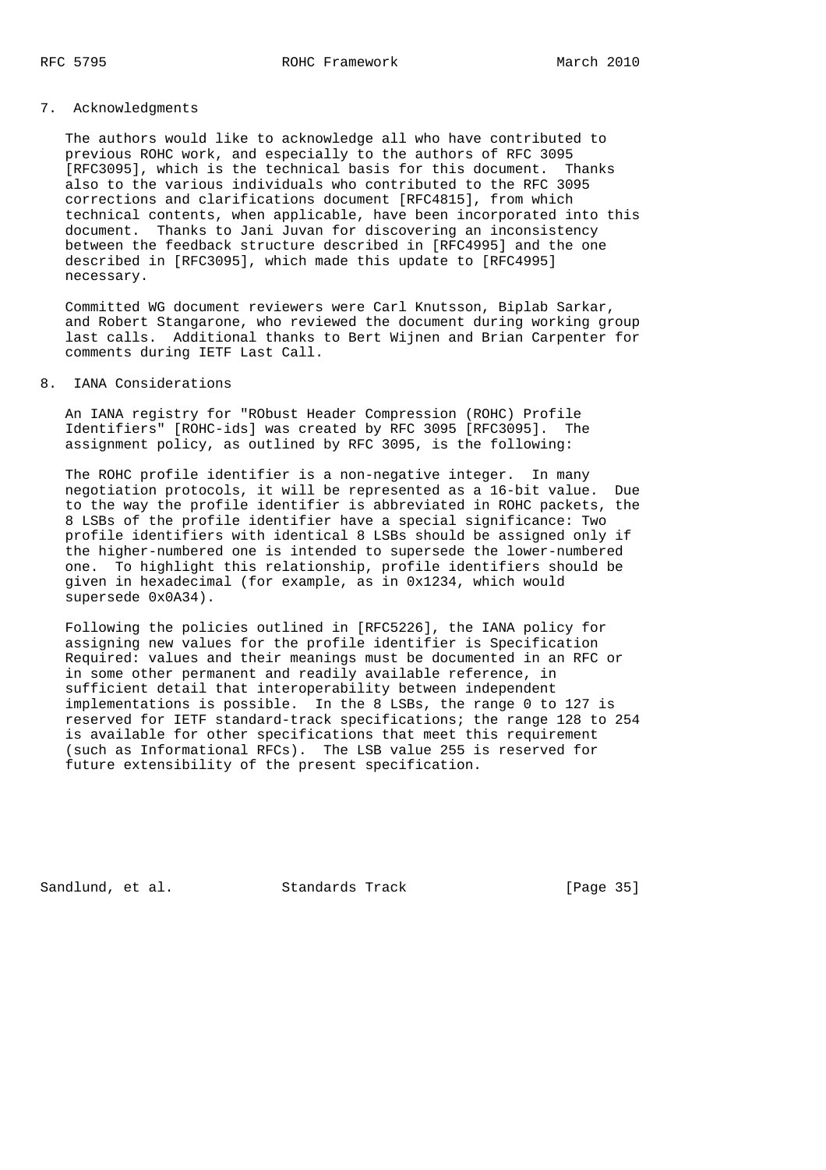## 7. Acknowledgments

 The authors would like to acknowledge all who have contributed to previous ROHC work, and especially to the authors of RFC 3095 [RFC3095], which is the technical basis for this document. Thanks also to the various individuals who contributed to the RFC 3095 corrections and clarifications document [RFC4815], from which technical contents, when applicable, have been incorporated into this document. Thanks to Jani Juvan for discovering an inconsistency between the feedback structure described in [RFC4995] and the one described in [RFC3095], which made this update to [RFC4995] necessary.

 Committed WG document reviewers were Carl Knutsson, Biplab Sarkar, and Robert Stangarone, who reviewed the document during working group last calls. Additional thanks to Bert Wijnen and Brian Carpenter for comments during IETF Last Call.

### 8. IANA Considerations

 An IANA registry for "RObust Header Compression (ROHC) Profile Identifiers" [ROHC-ids] was created by RFC 3095 [RFC3095]. The assignment policy, as outlined by RFC 3095, is the following:

 The ROHC profile identifier is a non-negative integer. In many negotiation protocols, it will be represented as a 16-bit value. Due to the way the profile identifier is abbreviated in ROHC packets, the 8 LSBs of the profile identifier have a special significance: Two profile identifiers with identical 8 LSBs should be assigned only if the higher-numbered one is intended to supersede the lower-numbered one. To highlight this relationship, profile identifiers should be given in hexadecimal (for example, as in 0x1234, which would supersede 0x0A34).

 Following the policies outlined in [RFC5226], the IANA policy for assigning new values for the profile identifier is Specification Required: values and their meanings must be documented in an RFC or in some other permanent and readily available reference, in sufficient detail that interoperability between independent implementations is possible. In the 8 LSBs, the range 0 to 127 is reserved for IETF standard-track specifications; the range 128 to 254 is available for other specifications that meet this requirement (such as Informational RFCs). The LSB value 255 is reserved for future extensibility of the present specification.

Sandlund, et al. Standards Track [Page 35]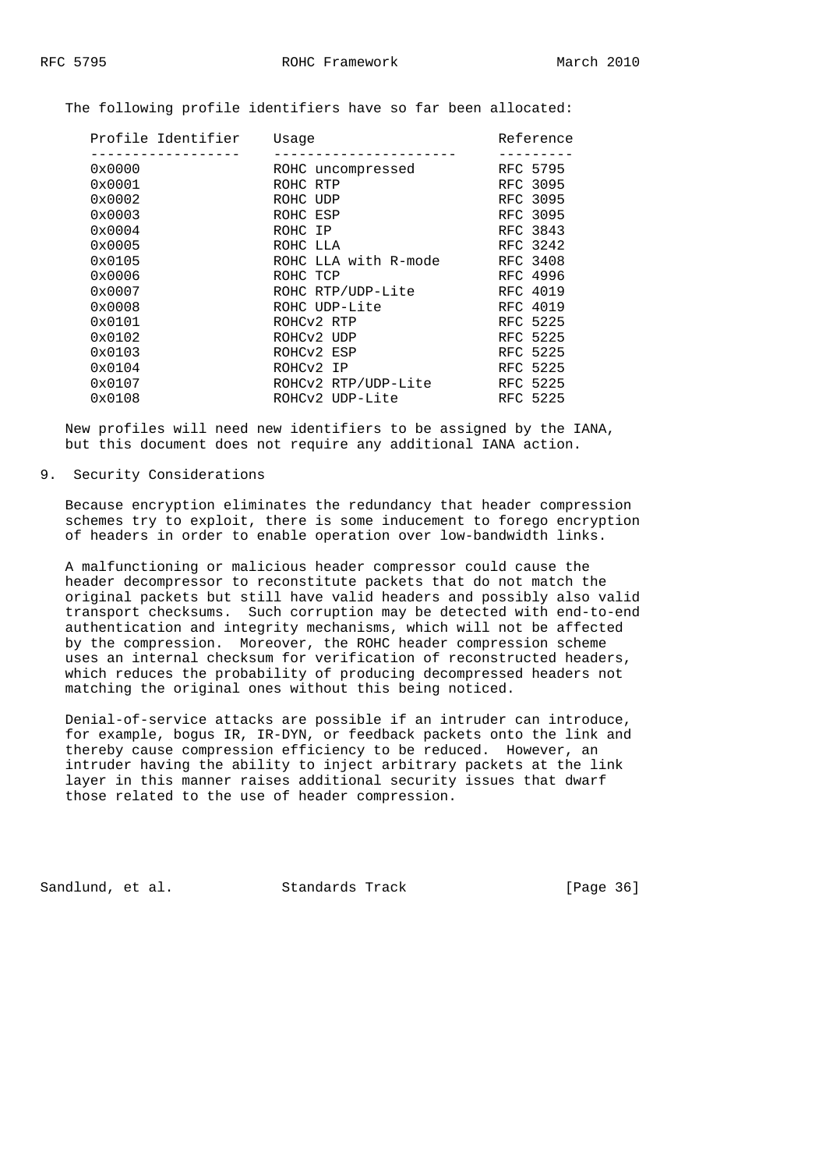The following profile identifiers have so far been allocated:

| Profile Identifier | Usage                | Reference |
|--------------------|----------------------|-----------|
|                    |                      |           |
| 0x0000             | ROHC uncompressed    | RFC 5795  |
| 0x0001             | ROHC RTP             | RFC 3095  |
| $0 \times 0002$    | ROHC UDP             | RFC 3095  |
| 0x0003             | ROHC ESP             | RFC 3095  |
| 0x0004             | ROHC IP              | RFC 3843  |
| 0x0005             | ROHC LLA             | RFC 3242  |
| 0x0105             | ROHC LLA with R-mode | RFC 3408  |
| 0x0006             | ROHC TCP             | RFC 4996  |
| 0x0007             | ROHC RTP/UDP-Lite    | RFC 4019  |
| $0 \times 0008$    | ROHC UDP-Lite        | RFC 4019  |
| $0 \times 0101$    | ROHCV2 RTP           | RFC 5225  |
| 0x0102             | ROHCV2 UDP           | RFC 5225  |
| 0x0103             | ROHCV2 ESP           | RFC 5225  |
| 0x0104             | ROHCV2 IP            | RFC 5225  |
| 0x0107             | ROHCv2 RTP/UDP-Lite  | RFC 5225  |
| 0x0108             | ROHCv2 UDP-Lite      | RFC 5225  |
|                    |                      |           |

 New profiles will need new identifiers to be assigned by the IANA, but this document does not require any additional IANA action.

#### 9. Security Considerations

 Because encryption eliminates the redundancy that header compression schemes try to exploit, there is some inducement to forego encryption of headers in order to enable operation over low-bandwidth links.

 A malfunctioning or malicious header compressor could cause the header decompressor to reconstitute packets that do not match the original packets but still have valid headers and possibly also valid transport checksums. Such corruption may be detected with end-to-end authentication and integrity mechanisms, which will not be affected by the compression. Moreover, the ROHC header compression scheme uses an internal checksum for verification of reconstructed headers, which reduces the probability of producing decompressed headers not matching the original ones without this being noticed.

 Denial-of-service attacks are possible if an intruder can introduce, for example, bogus IR, IR-DYN, or feedback packets onto the link and thereby cause compression efficiency to be reduced. However, an intruder having the ability to inject arbitrary packets at the link layer in this manner raises additional security issues that dwarf those related to the use of header compression.

Sandlund, et al. Standards Track [Page 36]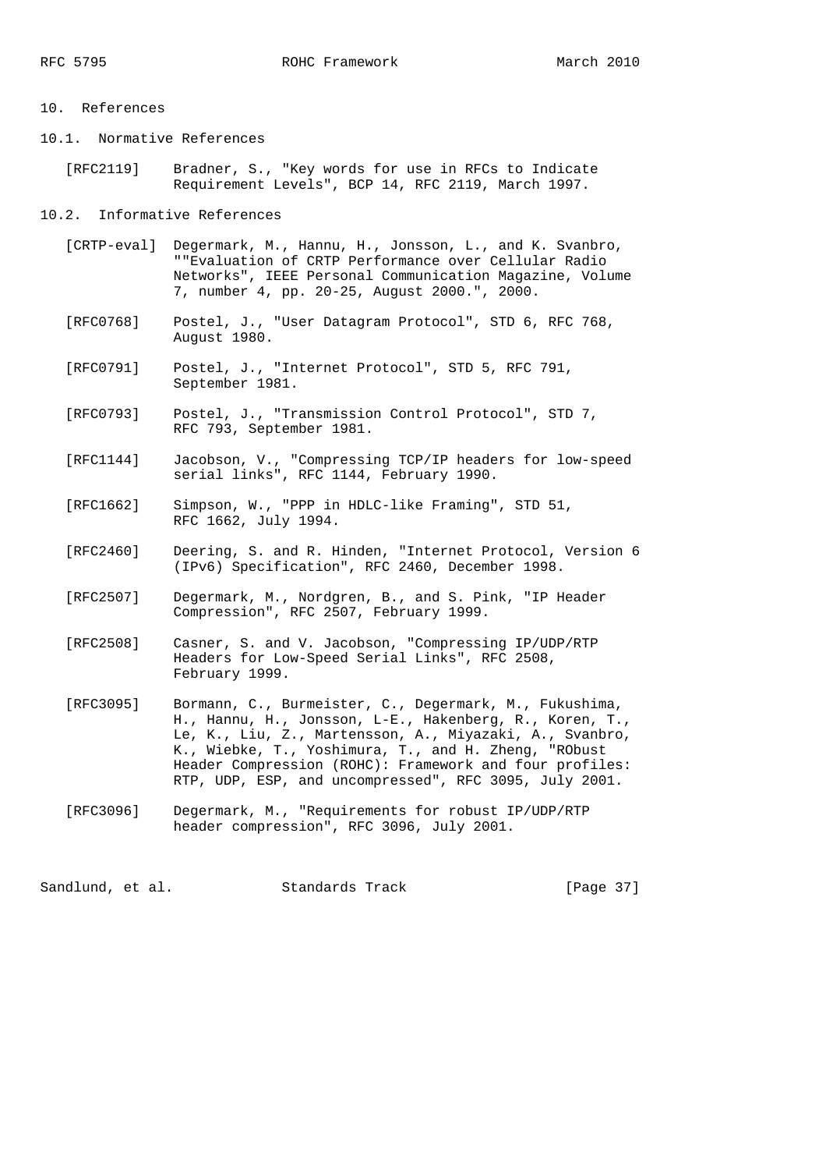#### 10. References

- 10.1. Normative References
	- [RFC2119] Bradner, S., "Key words for use in RFCs to Indicate Requirement Levels", BCP 14, RFC 2119, March 1997.

### 10.2. Informative References

- [CRTP-eval] Degermark, M., Hannu, H., Jonsson, L., and K. Svanbro, ""Evaluation of CRTP Performance over Cellular Radio Networks", IEEE Personal Communication Magazine, Volume 7, number 4, pp. 20-25, August 2000.", 2000.
- [RFC0768] Postel, J., "User Datagram Protocol", STD 6, RFC 768, August 1980.
- [RFC0791] Postel, J., "Internet Protocol", STD 5, RFC 791, September 1981.
- [RFC0793] Postel, J., "Transmission Control Protocol", STD 7, RFC 793, September 1981.
- [RFC1144] Jacobson, V., "Compressing TCP/IP headers for low-speed serial links", RFC 1144, February 1990.
	- [RFC1662] Simpson, W., "PPP in HDLC-like Framing", STD 51, RFC 1662, July 1994.
	- [RFC2460] Deering, S. and R. Hinden, "Internet Protocol, Version 6 (IPv6) Specification", RFC 2460, December 1998.
	- [RFC2507] Degermark, M., Nordgren, B., and S. Pink, "IP Header Compression", RFC 2507, February 1999.
	- [RFC2508] Casner, S. and V. Jacobson, "Compressing IP/UDP/RTP Headers for Low-Speed Serial Links", RFC 2508, February 1999.
	- [RFC3095] Bormann, C., Burmeister, C., Degermark, M., Fukushima, H., Hannu, H., Jonsson, L-E., Hakenberg, R., Koren, T., Le, K., Liu, Z., Martensson, A., Miyazaki, A., Svanbro, K., Wiebke, T., Yoshimura, T., and H. Zheng, "RObust Header Compression (ROHC): Framework and four profiles: RTP, UDP, ESP, and uncompressed", RFC 3095, July 2001.
	- [RFC3096] Degermark, M., "Requirements for robust IP/UDP/RTP header compression", RFC 3096, July 2001.

Sandlund, et al. Standards Track [Page 37]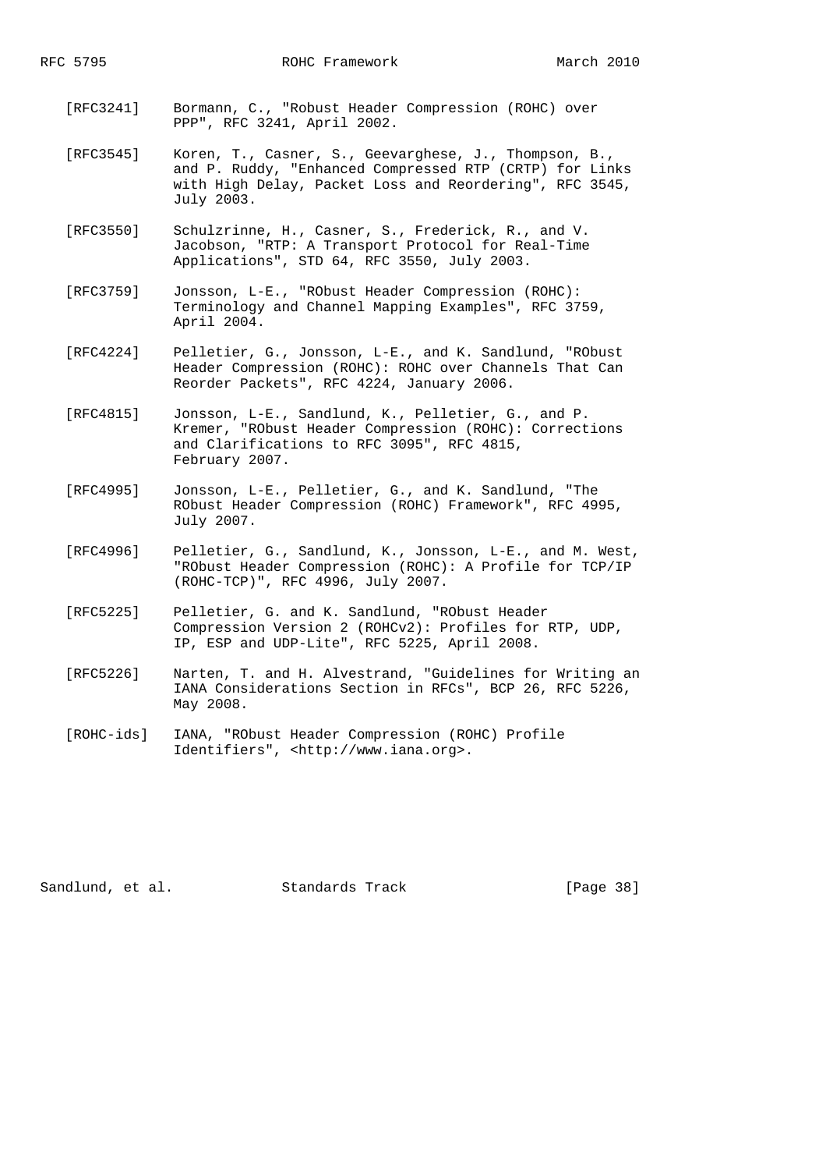- [RFC3241] Bormann, C., "Robust Header Compression (ROHC) over PPP", RFC 3241, April 2002.
- [RFC3545] Koren, T., Casner, S., Geevarghese, J., Thompson, B., and P. Ruddy, "Enhanced Compressed RTP (CRTP) for Links with High Delay, Packet Loss and Reordering", RFC 3545, July 2003.
- [RFC3550] Schulzrinne, H., Casner, S., Frederick, R., and V. Jacobson, "RTP: A Transport Protocol for Real-Time Applications", STD 64, RFC 3550, July 2003.
- [RFC3759] Jonsson, L-E., "RObust Header Compression (ROHC): Terminology and Channel Mapping Examples", RFC 3759, April 2004.
- [RFC4224] Pelletier, G., Jonsson, L-E., and K. Sandlund, "RObust Header Compression (ROHC): ROHC over Channels That Can Reorder Packets", RFC 4224, January 2006.
- [RFC4815] Jonsson, L-E., Sandlund, K., Pelletier, G., and P. Kremer, "RObust Header Compression (ROHC): Corrections and Clarifications to RFC 3095", RFC 4815, February 2007.
- [RFC4995] Jonsson, L-E., Pelletier, G., and K. Sandlund, "The RObust Header Compression (ROHC) Framework", RFC 4995, July 2007.
- [RFC4996] Pelletier, G., Sandlund, K., Jonsson, L-E., and M. West, "RObust Header Compression (ROHC): A Profile for TCP/IP (ROHC-TCP)", RFC 4996, July 2007.
- [RFC5225] Pelletier, G. and K. Sandlund, "RObust Header Compression Version 2 (ROHCv2): Profiles for RTP, UDP, IP, ESP and UDP-Lite", RFC 5225, April 2008.
- [RFC5226] Narten, T. and H. Alvestrand, "Guidelines for Writing an IANA Considerations Section in RFCs", BCP 26, RFC 5226, May 2008.
- [ROHC-ids] IANA, "RObust Header Compression (ROHC) Profile Identifiers", <http://www.iana.org>.

Sandlund, et al. Standards Track [Page 38]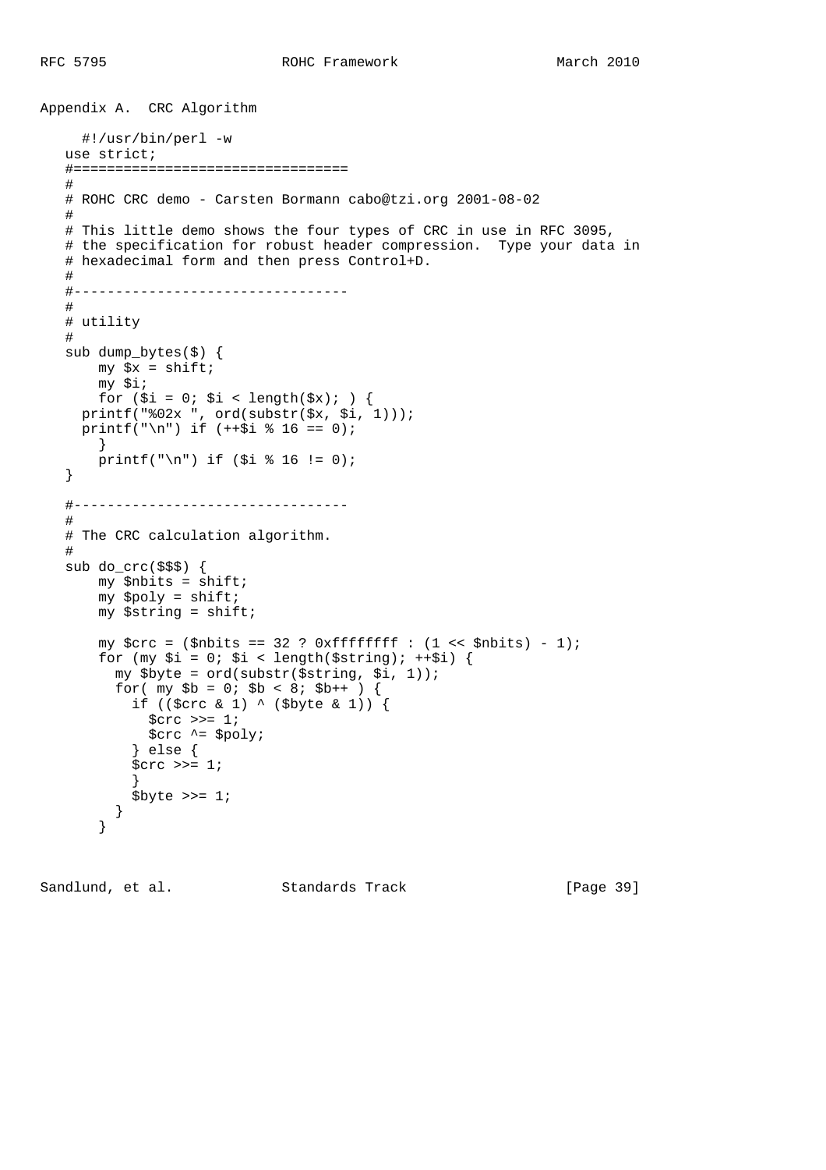```
Appendix A. CRC Algorithm
      #!/usr/bin/perl -w
    use strict;
    #=================================
    #
    # ROHC CRC demo - Carsten Bormann cabo@tzi.org 2001-08-02
    #
    # This little demo shows the four types of CRC in use in RFC 3095,
    # the specification for robust header compression. Type your data in
    # hexadecimal form and then press Control+D.
    #
    #---------------------------------
    #
    # utility
    #
    sub dump_bytes($) {
      my \,$x = shift;
        my $i;
       for (\xi i = 0; \xi i < length(\xi x); ) {
     printf("%02x ", ord(substr($x, $i, 1)));
     printf("\n") if (+\frac{1}{9} * 16 == 0);
       }
       printf("\n") if ($i $16 != 0);
    }
    #---------------------------------
    #
    # The CRC calculation algorithm.
    #
    sub do_crc($$$) {
        my $nbits = shift;
        my $poly = shift;
       my $string = shift;
       my \zetacrc = (\zetanbits == 32 ? 0xffffffff : (1 << \zetanbits) - 1);
       for (my \xi i = 0; \xi i < length(\xistring); ++\xi i) {
          my $byte = ord(substr($string, $i, 1));
         for( my $b = 0; $b < 8; $b++ ) {
            if (($crc & 1) ^ ($byte & 1)) {
             \text{Serc} \gg= 1; $crc ^= $poly;
             } else {
            \text{Serc} \gg= 1; }
            $byte \n>= 1; }
        }
```
Sandlund, et al. Standards Track [Page 39]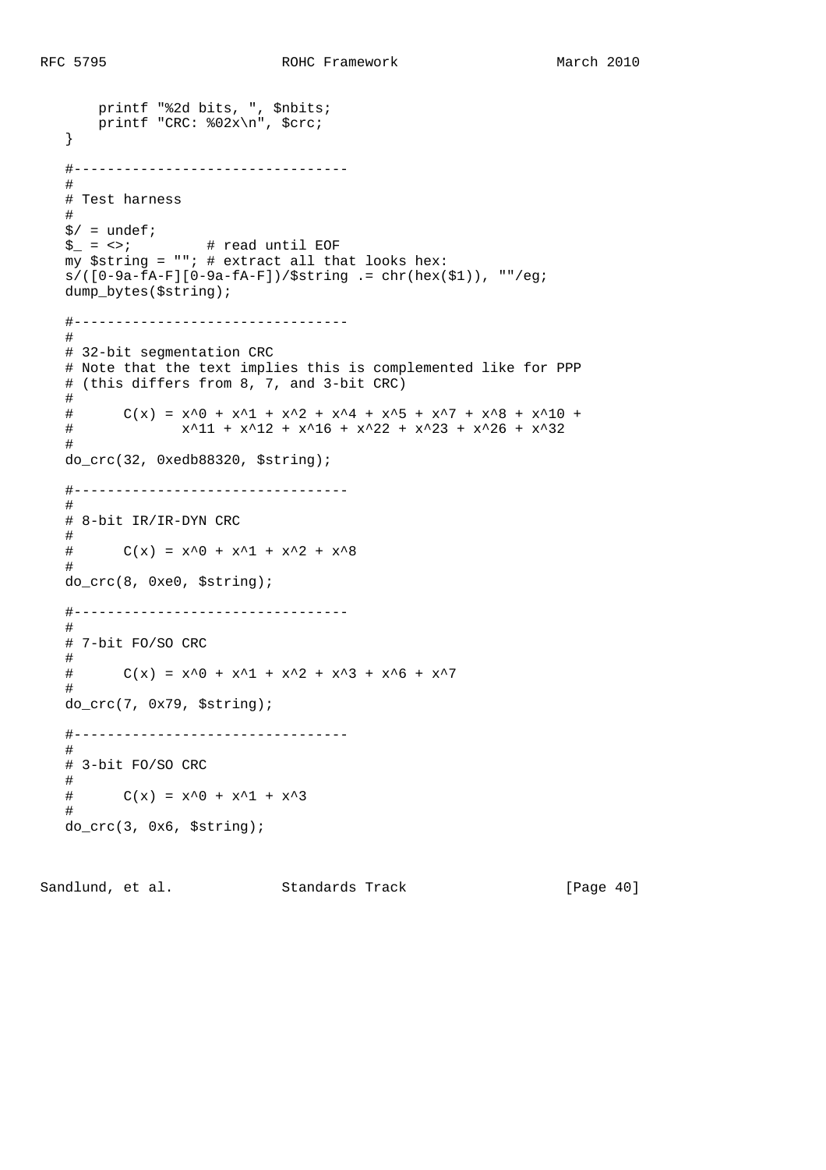```
 printf "%2d bits, ", $nbits;
    printf "CRC: %02x\n", $crc;
 }
 #---------------------------------
 #
 # Test harness
 #
s/ = undef;
\zeta_-=\langle\cdot\rangle; \qquad \qquad \# read until EOF
my $string = ""; # extract all that looks hex:s/([0-9a-fA-F][0-9a-fA-F])/$string = chr(hex($1)), ""/eq;
 dump_bytes($string);
 #---------------------------------
 #
 # 32-bit segmentation CRC
 # Note that the text implies this is complemented like for PPP
 # (this differs from 8, 7, and 3-bit CRC)
 #
# C(x) = x^0 + x^1 + x^2 + x^4 + x^5 + x^7 + x^8 + x^10 +# x^211 + x^212 + x^216 + x^222 + x^23 + x^226 + x^332 #
 do_crc(32, 0xedb88320, $string);
 #---------------------------------
 #
 # 8-bit IR/IR-DYN CRC
 #
# C(x) = x^0 + x^1 + x^2 + x^8 #
 do_crc(8, 0xe0, $string);
 #---------------------------------
 #
 # 7-bit FO/SO CRC
 #
# C(x) = x^0 + x^1 + x^2 + x^3 + x^3 + x^6 + x^7 #
 do_crc(7, 0x79, $string);
 #---------------------------------
 #
 # 3-bit FO/SO CRC
 #
# C(x) = x^0 + x^1 + x^3 #
 do_crc(3, 0x6, $string);
```
Sandlund, et al. Standards Track [Page 40]